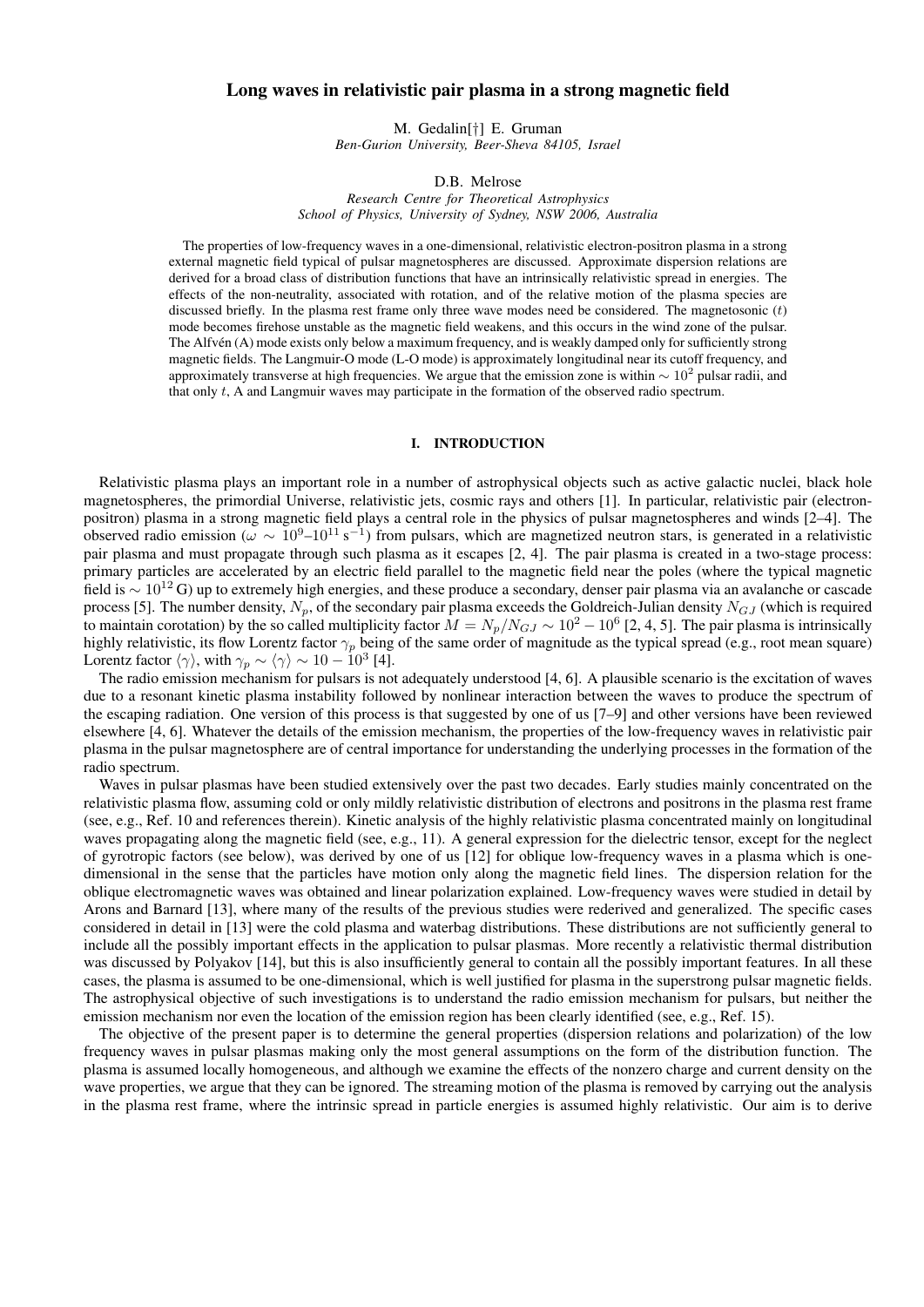# Long waves in relativistic pair plasma in a strong magnetic field

M. Gedalin[†] E. Gruman *Ben-Gurion University, Beer-Sheva 84105, Israel*

D.B. Melrose

*Research Centre for Theoretical Astrophysics School of Physics, University of Sydney, NSW 2006, Australia*

The properties of low-frequency waves in a one-dimensional, relativistic electron-positron plasma in a strong external magnetic field typical of pulsar magnetospheres are discussed. Approximate dispersion relations are derived for a broad class of distribution functions that have an intrinsically relativistic spread in energies. The effects of the non-neutrality, associated with rotation, and of the relative motion of the plasma species are discussed briefly. In the plasma rest frame only three wave modes need be considered. The magnetosonic  $(t)$ mode becomes firehose unstable as the magnetic field weakens, and this occurs in the wind zone of the pulsar. The Alfvén (A) mode exists only below a maximum frequency, and is weakly damped only for sufficiently strong magnetic fields. The Langmuir-O mode (L-O mode) is approximately longitudinal near its cutoff frequency, and approximately transverse at high frequencies. We argue that the emission zone is within  $\sim 10^2$  pulsar radii, and that only t, A and Langmuir waves may participate in the formation of the observed radio spectrum.

### I. INTRODUCTION

Relativistic plasma plays an important role in a number of astrophysical objects such as active galactic nuclei, black hole magnetospheres, the primordial Universe, relativistic jets, cosmic rays and others [1]. In particular, relativistic pair (electronpositron) plasma in a strong magnetic field plays a central role in the physics of pulsar magnetospheres and winds [2–4]. The observed radio emission ( $\omega \sim 10^9 - 10^{11} \text{ s}^{-1}$ ) from pulsars, which are magnetized neutron stars, is generated in a relativistic pair plasma and must propagate through such plasma as it escapes [2, 4]. The pair plasma is created in a two-stage process: primary particles are accelerated by an electric field parallel to the magnetic field near the poles (where the typical magnetic field is  $\sim 10^{12}$  G) up to extremely high energies, and these produce a secondary, denser pair plasma via an avalanche or cascade process [5]. The number density,  $N_p$ , of the secondary pair plasma exceeds the Goldreich-Julian density  $N_{GJ}$  (which is required to maintain corotation) by the so called multiplicity factor  $M = N_p/N_{GJ} \sim 10^2 - 10^6$  [2, 4, 5]. The pair plasma is intrinsically highly relativistic, its flow Lorentz factor  $\gamma_p$  being of the same order of magnitude as the typical spread (e.g., root mean square) Lorentz factor  $\langle \gamma \rangle$ , with  $\gamma_p \sim \langle \gamma \rangle \sim 10 - 10^3$  [4].

The radio emission mechanism for pulsars is not adequately understood [4, 6]. A plausible scenario is the excitation of waves due to a resonant kinetic plasma instability followed by nonlinear interaction between the waves to produce the spectrum of the escaping radiation. One version of this process is that suggested by one of us [7–9] and other versions have been reviewed elsewhere [4, 6]. Whatever the details of the emission mechanism, the properties of the low-frequency waves in relativistic pair plasma in the pulsar magnetosphere are of central importance for understanding the underlying processes in the formation of the radio spectrum.

Waves in pulsar plasmas have been studied extensively over the past two decades. Early studies mainly concentrated on the relativistic plasma flow, assuming cold or only mildly relativistic distribution of electrons and positrons in the plasma rest frame (see, e.g., Ref. 10 and references therein). Kinetic analysis of the highly relativistic plasma concentrated mainly on longitudinal waves propagating along the magnetic field (see, e.g., 11). A general expression for the dielectric tensor, except for the neglect of gyrotropic factors (see below), was derived by one of us [12] for oblique low-frequency waves in a plasma which is onedimensional in the sense that the particles have motion only along the magnetic field lines. The dispersion relation for the oblique electromagnetic waves was obtained and linear polarization explained. Low-frequency waves were studied in detail by Arons and Barnard [13], where many of the results of the previous studies were rederived and generalized. The specific cases considered in detail in [13] were the cold plasma and waterbag distributions. These distributions are not sufficiently general to include all the possibly important effects in the application to pulsar plasmas. More recently a relativistic thermal distribution was discussed by Polyakov [14], but this is also insufficiently general to contain all the possibly important features. In all these cases, the plasma is assumed to be one-dimensional, which is well justified for plasma in the superstrong pulsar magnetic fields. The astrophysical objective of such investigations is to understand the radio emission mechanism for pulsars, but neither the emission mechanism nor even the location of the emission region has been clearly identified (see, e.g., Ref. 15).

The objective of the present paper is to determine the general properties (dispersion relations and polarization) of the low frequency waves in pulsar plasmas making only the most general assumptions on the form of the distribution function. The plasma is assumed locally homogeneous, and although we examine the effects of the nonzero charge and current density on the wave properties, we argue that they can be ignored. The streaming motion of the plasma is removed by carrying out the analysis in the plasma rest frame, where the intrinsic spread in particle energies is assumed highly relativistic. Our aim is to derive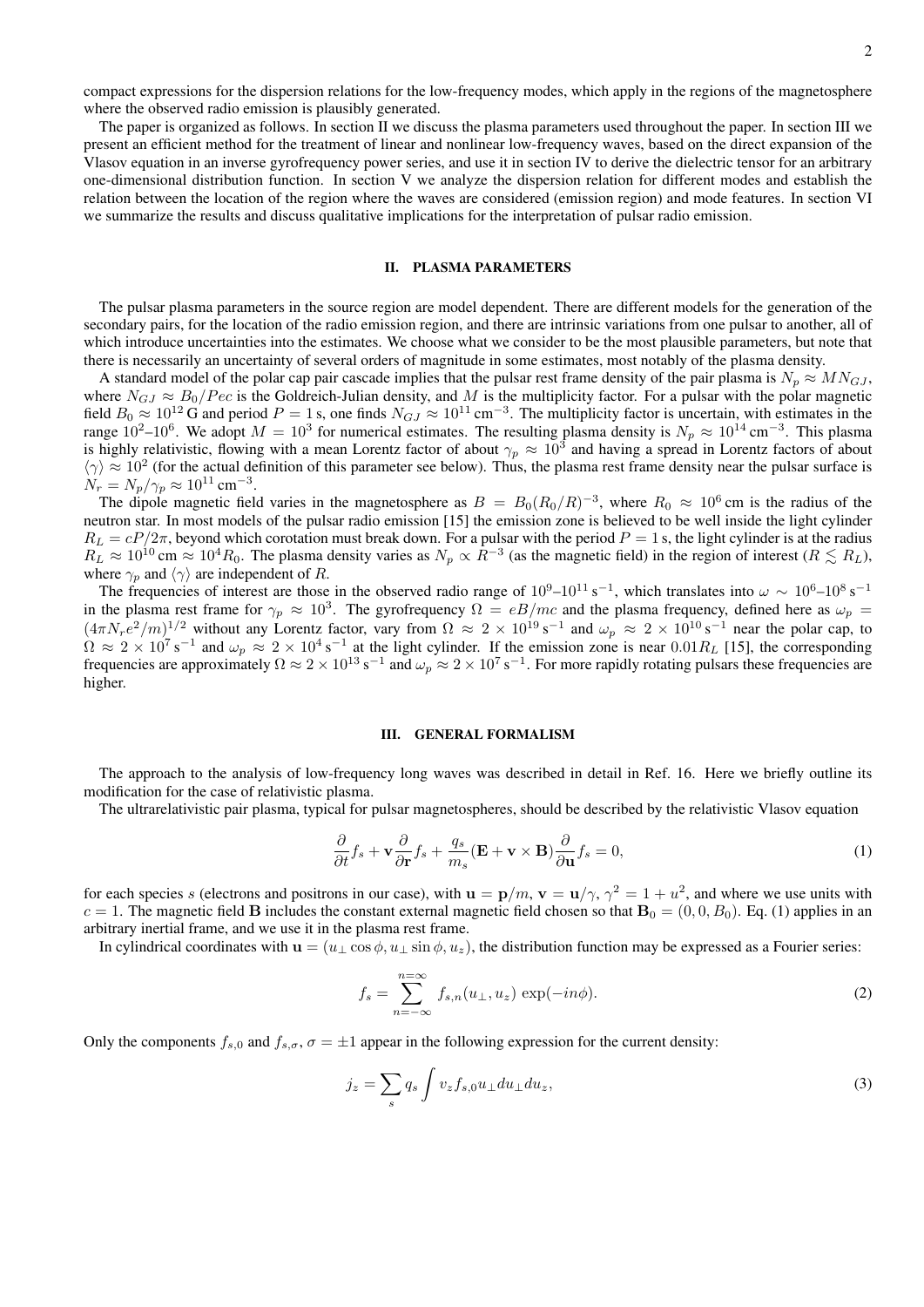compact expressions for the dispersion relations for the low-frequency modes, which apply in the regions of the magnetosphere where the observed radio emission is plausibly generated.

The paper is organized as follows. In section II we discuss the plasma parameters used throughout the paper. In section III we present an efficient method for the treatment of linear and nonlinear low-frequency waves, based on the direct expansion of the Vlasov equation in an inverse gyrofrequency power series, and use it in section IV to derive the dielectric tensor for an arbitrary one-dimensional distribution function. In section V we analyze the dispersion relation for different modes and establish the relation between the location of the region where the waves are considered (emission region) and mode features. In section VI we summarize the results and discuss qualitative implications for the interpretation of pulsar radio emission.

# II. PLASMA PARAMETERS

The pulsar plasma parameters in the source region are model dependent. There are different models for the generation of the secondary pairs, for the location of the radio emission region, and there are intrinsic variations from one pulsar to another, all of which introduce uncertainties into the estimates. We choose what we consider to be the most plausible parameters, but note that there is necessarily an uncertainty of several orders of magnitude in some estimates, most notably of the plasma density.

A standard model of the polar cap pair cascade implies that the pulsar rest frame density of the pair plasma is  $N_p \approx M N_{GJ}$ , where  $N_{GJ} \approx B_0/Pec$  is the Goldreich-Julian density, and M is the multiplicity factor. For a pulsar with the polar magnetic field  $B_0 \approx 10^{12}$  G and period  $P = 1$  s, one finds  $N_{GJ} \approx 10^{11}$  cm<sup>-3</sup>. The multiplicity factor is uncertain, with estimates in the range 10<sup>2</sup>–10<sup>6</sup>. We adopt  $M = 10^3$  for numerical estimates. The resulting plasma density is  $N_p \approx 10^{14}$  cm<sup>-3</sup>. This plasma is highly relativistic, flowing with a mean Lorentz factor of about  $\gamma_p \approx 10^3$  and having a spread in Lorentz factors of about  $\langle \gamma \rangle \approx 10^2$  (for the actual definition of this parameter see below). Thus, the plasma rest frame density near the pulsar surface is  $N_r = N_p / \gamma_p \approx 10^{11} \text{ cm}^{-3}.$ 

The dipole magnetic field varies in the magnetosphere as  $B = B_0 (R_0/R)^{-3}$ , where  $R_0 \approx 10^6$  cm is the radius of the neutron star. In most models of the pulsar radio emission [15] the emission zone is believed to be well inside the light cylinder  $R_L = cP/2\pi$ , beyond which corotation must break down. For a pulsar with the period  $P = 1$  s, the light cylinder is at the radius  $R_L \approx 10^{10}$  cm  $\approx 10^4 R_0$ . The plasma density varies as  $N_p \propto R^{-3}$  (as the magnetic field) in the region of interest  $(R \lesssim R_L)$ , where  $\gamma_p$  and  $\langle \gamma \rangle$  are independent of R.

The frequencies of interest are those in the observed radio range of  $10^9-10^{11} s^{-1}$ , which translates into  $\omega \sim 10^6-10^8 s^{-1}$ in the plasma rest frame for  $\gamma_p \approx 10^3$ . The gyrofrequency  $\Omega = eB/mc$  and the plasma frequency, defined here as  $\omega_p =$  $(4\pi N_r e^2/m)^{1/2}$  without any Lorentz factor, vary from  $\Omega \approx 2 \times 10^{19} \text{ s}^{-1}$  and  $\omega_p \approx 2 \times 10^{10} \text{ s}^{-1}$  near the polar cap, to  $\Omega \approx 2 \times 10^7$  s<sup>-1</sup> and  $\omega_p \approx 2 \times 10^4$  s<sup>-1</sup> at the light cylinder. If the emission zone is near 0.01 $R_L$  [15], the corresponding frequencies are approximately  $\Omega \approx 2 \times 10^{13}$  s<sup>-1</sup> and  $\omega_p \approx 2 \times 10^7$  s<sup>-1</sup>. For more rapidly rotating pulsars these frequencies are higher.

#### III. GENERAL FORMALISM

The approach to the analysis of low-frequency long waves was described in detail in Ref. 16. Here we briefly outline its modification for the case of relativistic plasma.

The ultrarelativistic pair plasma, typical for pulsar magnetospheres, should be described by the relativistic Vlasov equation

$$
\frac{\partial}{\partial t} f_s + \mathbf{v} \frac{\partial}{\partial \mathbf{r}} f_s + \frac{q_s}{m_s} (\mathbf{E} + \mathbf{v} \times \mathbf{B}) \frac{\partial}{\partial \mathbf{u}} f_s = 0, \tag{1}
$$

for each species s (electrons and positrons in our case), with  $\mathbf{u} = \mathbf{p}/m$ ,  $\mathbf{v} = \mathbf{u}/\gamma$ ,  $\gamma^2 = 1 + u^2$ , and where we use units with  $c = 1$ . The magnetic field B includes the constant external magnetic field chosen so that  $\mathbf{B}_0 = (0, 0, B_0)$ . Eq. (1) applies in an arbitrary inertial frame, and we use it in the plasma rest frame.

In cylindrical coordinates with  $\mathbf{u} = (u_\perp \cos \phi, u_\perp \sin \phi, u_z)$ , the distribution function may be expressed as a Fourier series:

$$
f_s = \sum_{n=-\infty}^{n=\infty} f_{s,n}(u_\perp, u_z) \exp(-in\phi).
$$
 (2)

Only the components  $f_{s,0}$  and  $f_{s,\sigma}$ ,  $\sigma = \pm 1$  appear in the following expression for the current density:

$$
j_z = \sum_s q_s \int v_z f_{s,0} u_\perp du_\perp du_z,\tag{3}
$$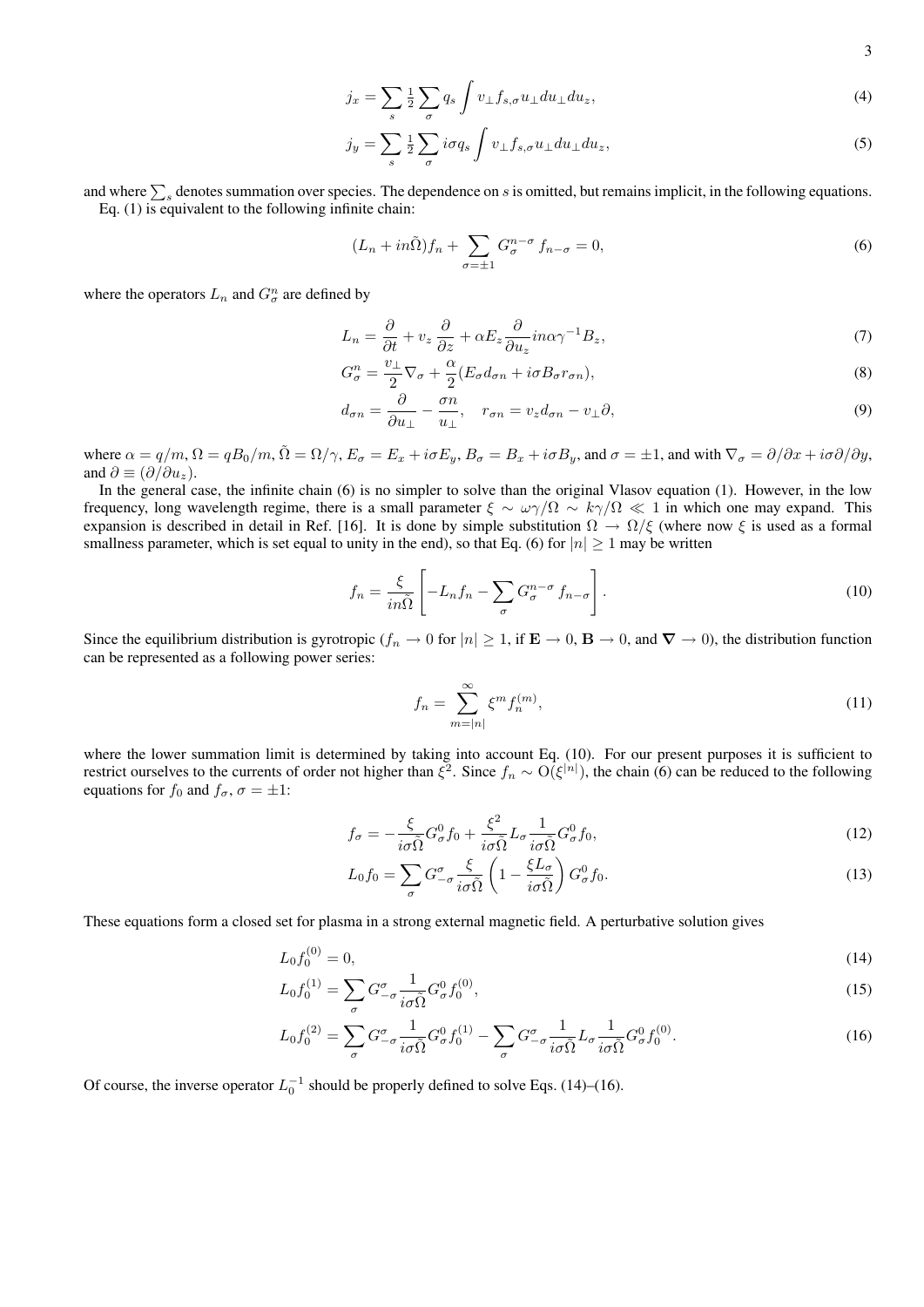$$
=\sum_{s}\tfrac{1}{2}\sum_{\sigma}q_{s}\int v_{\perp}f_{s,\sigma}u_{\perp}du_{\perp}du_{z},\tag{4}
$$

$$
j_y = \sum_s \frac{1}{2} \sum_{\sigma} i \sigma q_s \int v_\perp f_{s,\sigma} u_\perp du_\perp du_z,\tag{5}
$$

and where  $\sum_s$  denotes summation over species. The dependence on s is omitted, but remains implicit, in the following equations. Eq. (1) is equivalent to the following infinite chain:

 $j_x$ 

$$
(L_n + in\tilde{\Omega})f_n + \sum_{\sigma=\pm 1} G_{\sigma}^{n-\sigma} f_{n-\sigma} = 0,
$$
\n(6)

where the operators  $L_n$  and  $G_{\sigma}^n$  are defined by

$$
L_n = \frac{\partial}{\partial t} + v_z \frac{\partial}{\partial z} + \alpha E_z \frac{\partial}{\partial u_z} i n \alpha \gamma^{-1} B_z,\tag{7}
$$

$$
G_{\sigma}^{n} = \frac{v_{\perp}}{2} \nabla_{\sigma} + \frac{\alpha}{2} (E_{\sigma} d_{\sigma n} + i \sigma B_{\sigma} r_{\sigma n}),
$$
\n(8)

$$
d_{\sigma n} = \frac{\partial}{\partial u_{\perp}} - \frac{\sigma n}{u_{\perp}}, \quad r_{\sigma n} = v_z d_{\sigma n} - v_{\perp} \partial,
$$
\n<sup>(9)</sup>

where  $\alpha = q/m$ ,  $\Omega = qB_0/m$ ,  $\tilde{\Omega} = \Omega/\gamma$ ,  $E_{\sigma} = E_x + i\sigma E_y$ ,  $B_{\sigma} = B_x + i\sigma B_y$ , and  $\sigma = \pm 1$ , and with  $\nabla_{\sigma} = \partial/\partial x + i\sigma \partial/\partial y$ , and  $\partial \equiv (\partial/\partial u_z)$ .

In the general case, the infinite chain (6) is no simpler to solve than the original Vlasov equation (1). However, in the low frequency, long wavelength regime, there is a small parameter  $\xi \sim \omega \gamma/\Omega \sim k \gamma/\Omega \ll 1$  in which one may expand. This expansion is described in detail in Ref. [16]. It is done by simple substitution  $\Omega \to \Omega/\xi$  (where now  $\xi$  is used as a formal smallness parameter, which is set equal to unity in the end), so that Eq. (6) for  $|n| \ge 1$  may be written

$$
f_n = \frac{\xi}{in\tilde{\Omega}} \left[ -L_n f_n - \sum_{\sigma} G_{\sigma}^{n-\sigma} f_{n-\sigma} \right].
$$
 (10)

Since the equilibrium distribution is gyrotropic ( $f_n \to 0$  for  $|n| \ge 1$ , if  $\mathbf{E} \to 0$ ,  $\mathbf{B} \to 0$ , and  $\nabla \to 0$ ), the distribution function can be represented as a following power series:

$$
f_n = \sum_{m=|n|}^{\infty} \xi^m f_n^{(m)},\tag{11}
$$

where the lower summation limit is determined by taking into account Eq. (10). For our present purposes it is sufficient to restrict ourselves to the currents of order not higher than  $\xi^2$ . Since  $f_n \sim O(\xi^{|n|})$ , the chain (6) can be reduced to the following equations for  $f_0$  and  $f_\sigma$ ,  $\sigma = \pm 1$ :

$$
f_{\sigma} = -\frac{\xi}{i\sigma\tilde{\Omega}}G_{\sigma}^{0}f_{0} + \frac{\xi^{2}}{i\sigma\tilde{\Omega}}L_{\sigma}\frac{1}{i\sigma\tilde{\Omega}}G_{\sigma}^{0}f_{0},\qquad(12)
$$

$$
L_0 f_0 = \sum_{\sigma} G^{\sigma}_{-\sigma} \frac{\xi}{i\sigma \tilde{\Omega}} \left( 1 - \frac{\xi L_{\sigma}}{i\sigma \tilde{\Omega}} \right) G^0_{\sigma} f_0.
$$
 (13)

These equations form a closed set for plasma in a strong external magnetic field. A perturbative solution gives

$$
L_0 f_0^{(0)} = 0,\t\t(14)
$$

$$
L_0 f_0^{(1)} = \sum_{\sigma} G^{\sigma}_{-\sigma} \frac{1}{i\sigma \tilde{\Omega}} G^0_{\sigma} f_0^{(0)}, \qquad (15)
$$

$$
L_0 f_0^{(2)} = \sum_{\sigma} G^{\sigma}_{-\sigma} \frac{1}{i\sigma \tilde{\Omega}} G^0_{\sigma} f_0^{(1)} - \sum_{\sigma} G^{\sigma}_{-\sigma} \frac{1}{i\sigma \tilde{\Omega}} L_{\sigma} \frac{1}{i\sigma \tilde{\Omega}} G^0_{\sigma} f_0^{(0)}.
$$
 (16)

Of course, the inverse operator  $L_0^{-1}$  should be properly defined to solve Eqs. (14)–(16).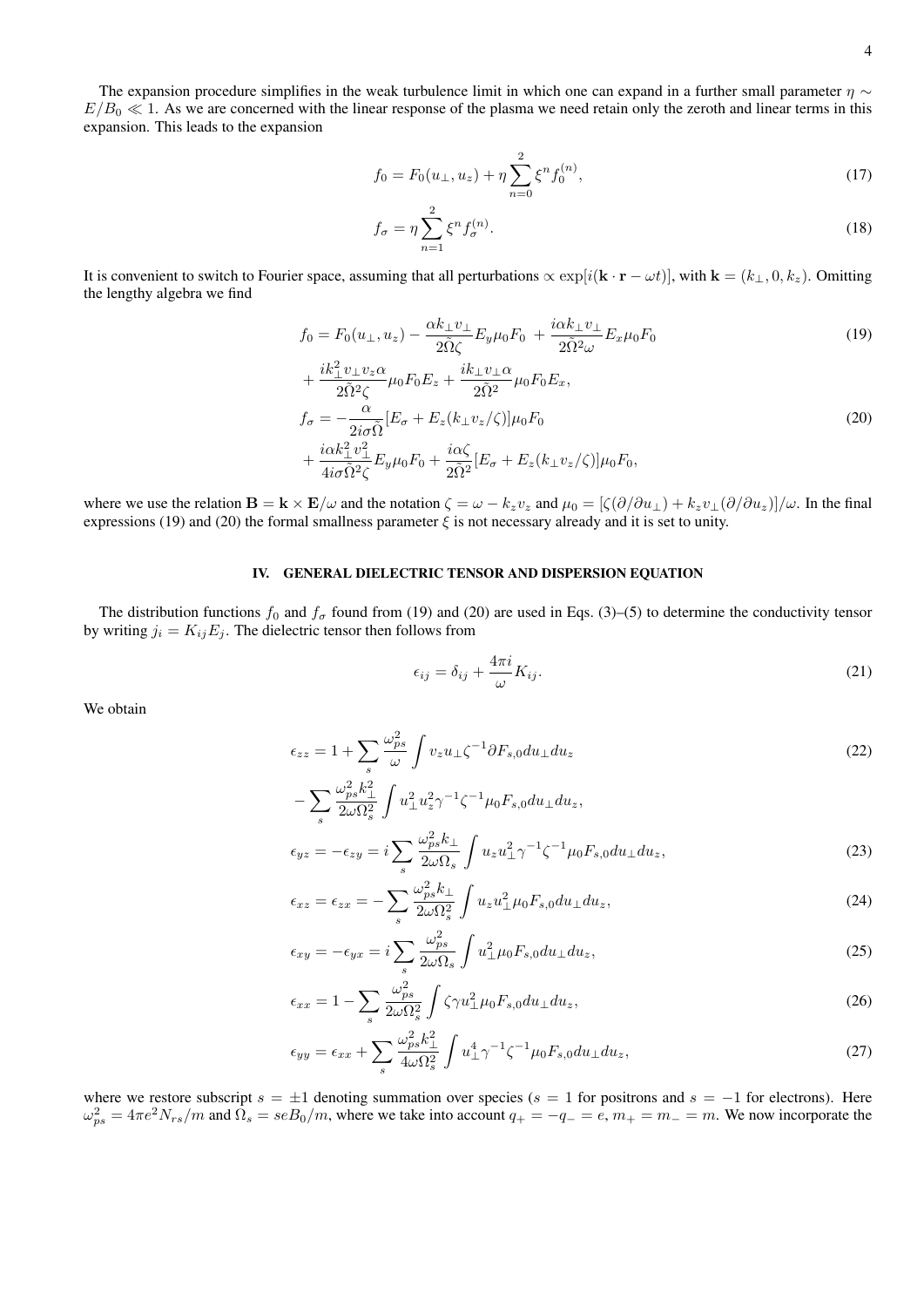The expansion procedure simplifies in the weak turbulence limit in which one can expand in a further small parameter  $\eta \sim$  $E/B_0 \ll 1$ . As we are concerned with the linear response of the plasma we need retain only the zeroth and linear terms in this expansion. This leads to the expansion

$$
f_0 = F_0(u_\perp, u_z) + \eta \sum_{n=0}^2 \xi^n f_0^{(n)},
$$
\n(17)

$$
f_{\sigma} = \eta \sum_{n=1}^{2} \xi^n f_{\sigma}^{(n)}.
$$
 (18)

It is convenient to switch to Fourier space, assuming that all perturbations  $\propto \exp[i(\mathbf{k} \cdot \mathbf{r} - \omega t)]$ , with  $\mathbf{k} = (k_{\perp}, 0, k_z)$ . Omitting the lengthy algebra we find

$$
f_0 = F_0(u_\perp, u_z) - \frac{\alpha k_\perp v_\perp}{2\tilde{\Omega}\zeta} E_y \mu_0 F_0 + \frac{i\alpha k_\perp v_\perp}{2\tilde{\Omega}^2 \omega} E_x \mu_0 F_0 \tag{19}
$$

$$
+ \frac{ik_{\perp}^{2}v_{\perp}v_{z}\alpha}{2\tilde{\Omega}^{2}\zeta}\mu_{0}F_{0}E_{z} + \frac{ik_{\perp}v_{\perp}\alpha}{2\tilde{\Omega}^{2}}\mu_{0}F_{0}E_{x},
$$
  
\n
$$
f_{\sigma} = -\frac{\alpha}{2i\sigma\tilde{\Omega}}[E_{\sigma} + E_{z}(k_{\perp}v_{z}/\zeta)]\mu_{0}F_{0}
$$
  
\n
$$
+ \frac{i\alpha k_{\perp}^{2}v_{\perp}^{2}}{4i\sigma\tilde{\Omega}^{2}\zeta}E_{y}\mu_{0}F_{0} + \frac{i\alpha\zeta}{2\tilde{\Omega}^{2}}[E_{\sigma} + E_{z}(k_{\perp}v_{z}/\zeta)]\mu_{0}F_{0},
$$
\n(20)

where we use the relation  $\mathbf{B} = \mathbf{k} \times \mathbf{E}/\omega$  and the notation  $\zeta = \omega - k_z v_z$  and  $\mu_0 = [\zeta(\partial/\partial u_\perp) + k_z v_\perp(\partial/\partial u_z)]/\omega$ . In the final expressions (19) and (20) the formal smallness parameter  $\xi$  is not necessary already and it is set to unity.

# IV. GENERAL DIELECTRIC TENSOR AND DISPERSION EQUATION

The distribution functions  $f_0$  and  $f_\sigma$  found from (19) and (20) are used in Eqs. (3)–(5) to determine the conductivity tensor by writing  $j_i = K_{ij}E_j$ . The dielectric tensor then follows from

$$
\epsilon_{ij} = \delta_{ij} + \frac{4\pi i}{\omega} K_{ij}.
$$
\n(21)

We obtain

$$
\epsilon_{zz} = 1 + \sum_{s} \frac{\omega_{ps}^2}{\omega} \int v_z u_{\perp} \zeta^{-1} \partial F_{s,0} du_{\perp} du_z \tag{22}
$$

$$
-\sum_{s} \frac{\omega_{ps}^2 k_{\perp}^2}{2\omega \Omega_s^2} \int u_{\perp}^2 u_z^2 \gamma^{-1} \zeta^{-1} \mu_0 F_{s,0} du_{\perp} du_z,
$$
  
\n
$$
\epsilon_{yz} = -\epsilon_{zy} = i \sum_{\rho} \frac{\omega_{ps}^2 k_{\perp}}{2\omega \Omega} \int u_z u_{\perp}^2 \gamma^{-1} \zeta^{-1} \mu_0 F_{s,0} du_{\perp} du_z,
$$
\n(23)

$$
\epsilon_{xz} = \epsilon_{zx} = -\sum_{s} \frac{\omega_{ps}^2 k_{\perp}}{2\omega \Omega_s} \int u_z u_{\perp}^2 \mu_0 F_{s,0} du_{\perp} du_z,
$$
\n(24)

$$
\epsilon_{xy} = -\epsilon_{yx} = i \sum_{s} \frac{\omega_{ps}^2}{2\omega\Omega_s} \int u_{\perp}^2 \mu_0 F_{s,0} du_{\perp} du_z,\tag{25}
$$

$$
\epsilon_{xx} = 1 - \sum_{s} \frac{\omega_{ps}^2}{2\omega\Omega_s^2} \int \zeta \gamma u_{\perp}^2 \mu_0 F_{s,0} du_{\perp} du_z,\tag{26}
$$

$$
\epsilon_{yy} = \epsilon_{xx} + \sum_{s} \frac{\omega_{ps}^2 k_{\perp}^2}{4\omega \Omega_s^2} \int u_{\perp}^4 \gamma^{-1} \zeta^{-1} \mu_0 F_{s,0} du_{\perp} du_z,\tag{27}
$$

where we restore subscript  $s = \pm 1$  denoting summation over species ( $s = 1$  for positrons and  $s = -1$  for electrons). Here  $\omega_{ps}^2 = 4\pi e^2 N_{rs}/m$  and  $\Omega_s = seB_0/m$ , where we take into account  $q_+ = -q_- = e$ ,  $m_+ = m_- = m$ . We now incorporate the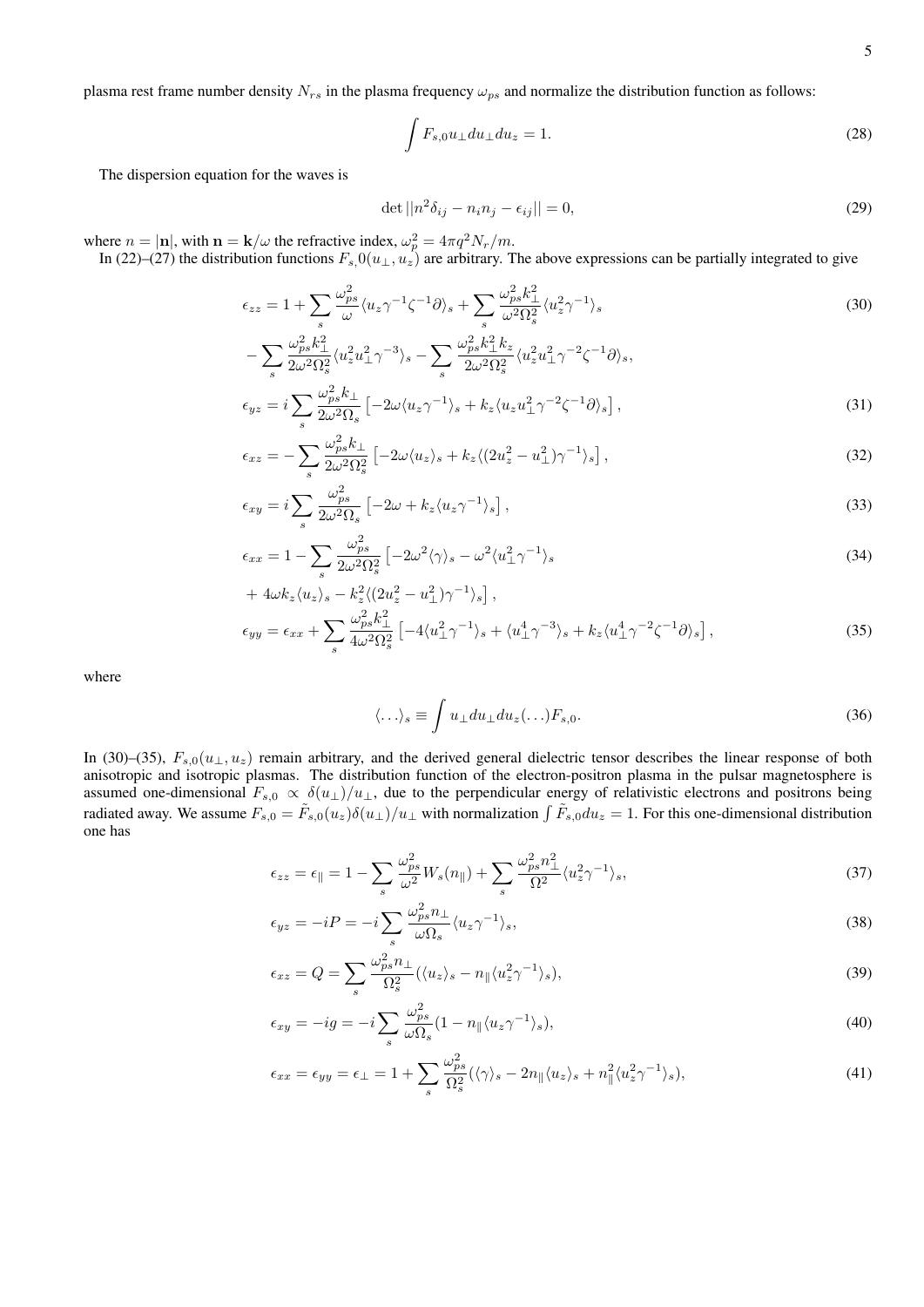plasma rest frame number density  $N_{rs}$  in the plasma frequency  $\omega_{ps}$  and normalize the distribution function as follows:

$$
\int F_{s,0}u_{\perp}du_{\perp}du_z = 1.
$$
\n(28)

The dispersion equation for the waves is

$$
\det ||n^2 \delta_{ij} - n_i n_j - \epsilon_{ij}|| = 0,
$$
\n(29)

where  $n = |\mathbf{n}|$ , with  $\mathbf{n} = \mathbf{k}/\omega$  the refractive index,  $\omega_p^2 = 4\pi q^2 N_r/m$ .

In (22)–(27) the distribution functions  $F_s(0(u_\perp, u_z)$  are arbitrary. The above expressions can be partially integrated to give

$$
\epsilon_{zz} = 1 + \sum_{s} \frac{\omega_{ps}^2}{\omega} \langle u_z \gamma^{-1} \zeta^{-1} \partial \rangle_s + \sum_{s} \frac{\omega_{ps}^2 k_{\perp}^2}{\omega^2 \Omega_s^2} \langle u_z^2 \gamma^{-1} \rangle_s
$$
\n
$$
\omega^2 k_{\perp}^2 \qquad (30)
$$

$$
-\sum_{s} \frac{\omega_{ps}^{2} k_{\perp}^{2}}{2\omega^{2} \Omega_{s}^{2}} \langle u_{z}^{2} u_{\perp}^{2} \gamma^{-3} \rangle_{s} - \sum_{s} \frac{\omega_{ps}^{2} k_{\perp}^{2} k_{z}}{2\omega^{2} \Omega_{s}^{2}} \langle u_{z}^{2} u_{\perp}^{2} \gamma^{-2} \zeta^{-1} \partial \rangle_{s},
$$
  

$$
\epsilon_{yz} = i \sum_{s} \frac{\omega_{ps}^{2} k_{\perp}}{2\omega^{2} \Omega_{s}} \left[ -2\omega \langle u_{z} \gamma^{-1} \rangle_{s} + k_{z} \langle u_{z} u_{\perp}^{2} \gamma^{-2} \zeta^{-1} \partial \rangle_{s} \right],
$$
 (31)

$$
\epsilon_{xz} = -\sum_{s} \frac{\omega_{ps}^2 k_{\perp}}{2\omega^2 \Omega_s^2} \left[ -2\omega \langle u_z \rangle_s + k_z \langle (2u_z^2 - u_\perp^2) \gamma^{-1} \rangle_s \right],\tag{32}
$$

$$
\epsilon_{xy} = i \sum_{s} \frac{\omega_{ps}^2}{2\omega^2 \Omega_s} \left[ -2\omega + k_z \langle u_z \gamma^{-1} \rangle_s \right],\tag{33}
$$

$$
\epsilon_{xx} = 1 - \sum_{s} \frac{\omega_{ps}^2}{2\omega^2 \Omega_s^2} \left[ -2\omega^2 \langle \gamma \rangle_s - \omega^2 \langle u_{\perp}^2 \gamma^{-1} \rangle_s \right] \tag{34}
$$

+ 
$$
4\omega k_z \langle u_z \rangle_s - k_z^2 \langle (2u_z^2 - u_\perp^2) \gamma^{-1} \rangle_s
$$
],  
\n
$$
\epsilon_{yy} = \epsilon_{xx} + \sum_s \frac{\omega_{ps}^2 k_\perp^2}{4\omega^2 \Omega_s^2} \left[ -4 \langle u_\perp^2 \gamma^{-1} \rangle_s + \langle u_\perp^4 \gamma^{-3} \rangle_s + k_z \langle u_\perp^4 \gamma^{-2} \zeta^{-1} \partial \rangle_s \right],
$$
\n(35)

where

$$
\langle \ldots \rangle_s \equiv \int u_\perp du_\perp du_z (\ldots) F_{s,0}.
$$
\n(36)

In (30)–(35),  $F_{s,0}(u_{\perp}, u_z)$  remain arbitrary, and the derived general dielectric tensor describes the linear response of both anisotropic and isotropic plasmas. The distribution function of the electron-positron plasma in the pulsar magnetosphere is assumed one-dimensional  $F_{s,0} \propto \delta(u_\perp)/u_\perp$ , due to the perpendicular energy of relativistic electrons and positrons being radiated away. We assume  $F_{s,0} = \tilde{F}_{s,0}(u_z)\delta(u_\perp)/u_\perp$  with normalization  $\int \tilde{F}_{s,0}du_z = 1$ . For this one-dimensional distribution one has

$$
\epsilon_{zz} = \epsilon_{\parallel} = 1 - \sum_{s} \frac{\omega_{ps}^2}{\omega^2} W_s(n_{\parallel}) + \sum_{s} \frac{\omega_{ps}^2 n_{\perp}^2}{\Omega^2} \langle u_z^2 \gamma^{-1} \rangle_s,\tag{37}
$$

$$
\epsilon_{yz} = -iP = -i\sum_{s} \frac{\omega_{ps}^2 n_{\perp}}{\omega \Omega_s} \langle u_z \gamma^{-1} \rangle_s,\tag{38}
$$

$$
\epsilon_{xz} = Q = \sum_{s} \frac{\omega_{ps}^2 n_{\perp}}{\Omega_s^2} (\langle u_z \rangle_s - n_{\parallel} \langle u_z^2 \gamma^{-1} \rangle_s), \tag{39}
$$

$$
\epsilon_{xy} = -ig = -i \sum_{s} \frac{\omega_{ps}^2}{\omega \Omega_s} (1 - n_{\parallel} \langle u_z \gamma^{-1} \rangle_s), \tag{40}
$$

$$
\epsilon_{xx} = \epsilon_{yy} = \epsilon_{\perp} = 1 + \sum_{s} \frac{\omega_{ps}^2}{\Omega_s^2} (\langle \gamma \rangle_s - 2n_{\parallel} \langle u_z \rangle_s + n_{\parallel}^2 \langle u_z^2 \gamma^{-1} \rangle_s), \tag{41}
$$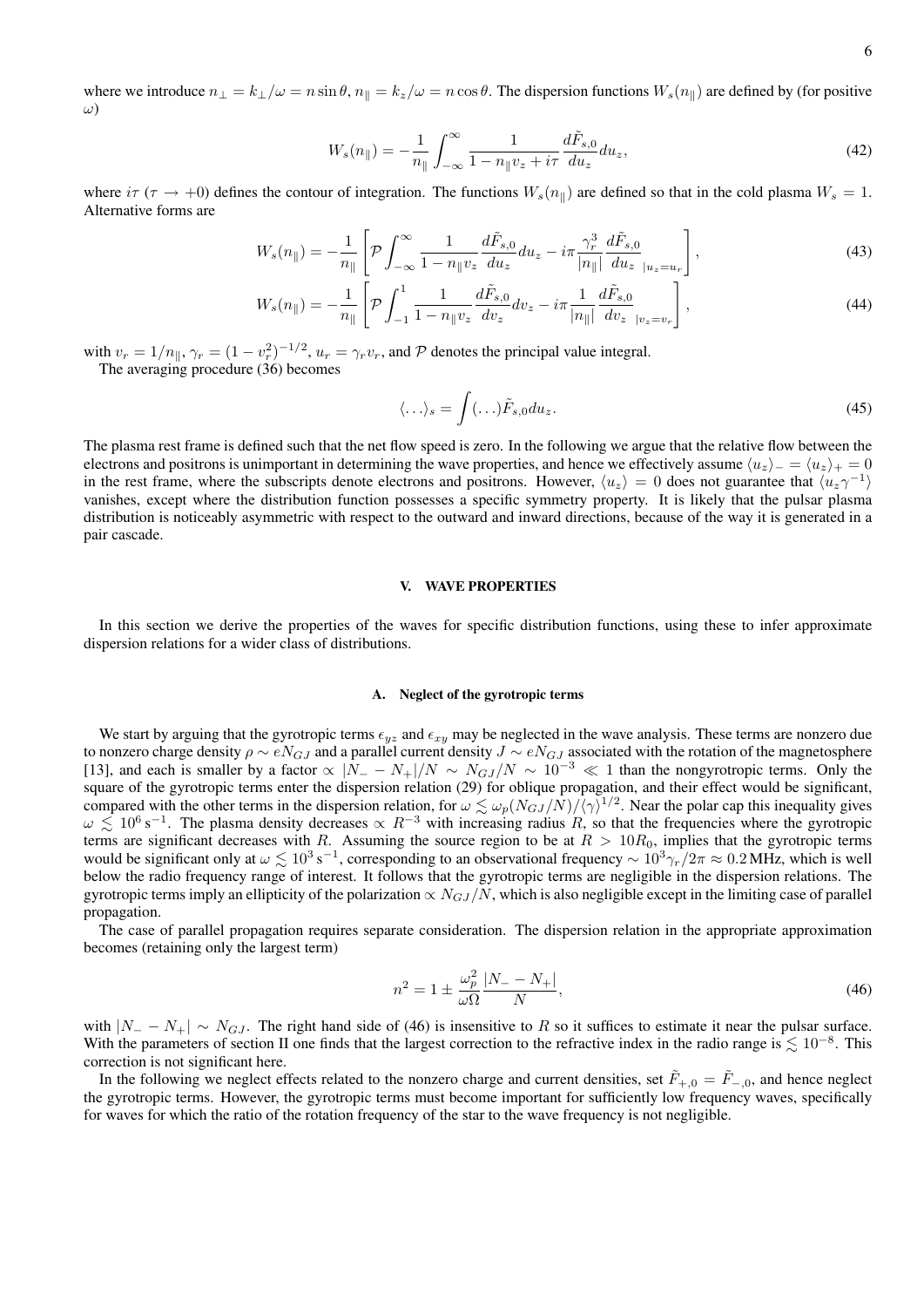where we introduce  $n_{\perp} = k_{\perp}/\omega = n \sin \theta$ ,  $n_{\parallel} = k_z/\omega = n \cos \theta$ . The dispersion functions  $W_s(n_{\parallel})$  are defined by (for positive ω)

$$
W_s(n_{\parallel}) = -\frac{1}{n_{\parallel}} \int_{-\infty}^{\infty} \frac{1}{1 - n_{\parallel} v_z + i\tau} \frac{d\tilde{F}_{s,0}}{du_z} du_z,
$$
\n(42)

where  $i\tau$  ( $\tau \to +0$ ) defines the contour of integration. The functions  $W_s(n_{\parallel})$  are defined so that in the cold plasma  $W_s = 1$ . Alternative forms are

$$
W_s(n_{\parallel}) = -\frac{1}{n_{\parallel}} \left[ \mathcal{P} \int_{-\infty}^{\infty} \frac{1}{1 - n_{\parallel} v_z} \frac{d\tilde{F}_{s,0}}{du_z} du_z - i\pi \frac{\gamma_r^3}{|n_{\parallel}|} \frac{d\tilde{F}_{s,0}}{du_z}_{|u_z = u_r} \right],
$$
(43)

$$
W_s(n_{\parallel}) = -\frac{1}{n_{\parallel}} \left[ \mathcal{P} \int_{-1}^1 \frac{1}{1 - n_{\parallel} v_z} \frac{d\tilde{F}_{s,0}}{dv_z} dv_z - i\pi \frac{1}{|n_{\parallel}|} \frac{d\tilde{F}_{s,0}}{dv_z}_{|v_z = v_r} \right],
$$
\n(44)

with  $v_r = 1/n_{\parallel}, \gamma_r = (1 - v_r^2)^{-1/2}, u_r = \gamma_r v_r$ , and  $P$  denotes the principal value integral. The averaging procedure (36) becomes

$$
\langle \ldots \rangle_s = \int (\ldots) \tilde{F}_{s,0} du_z. \tag{45}
$$

The plasma rest frame is defined such that the net flow speed is zero. In the following we argue that the relative flow between the electrons and positrons is unimportant in determining the wave properties, and hence we effectively assume  $\langle u_z \rangle_-= \langle u_z \rangle_+= 0$ in the rest frame, where the subscripts denote electrons and positrons. However,  $\langle u_z \rangle = 0$  does not guarantee that  $\langle u_z \gamma^{-1} \rangle$ vanishes, except where the distribution function possesses a specific symmetry property. It is likely that the pulsar plasma distribution is noticeably asymmetric with respect to the outward and inward directions, because of the way it is generated in a pair cascade.

#### V. WAVE PROPERTIES

In this section we derive the properties of the waves for specific distribution functions, using these to infer approximate dispersion relations for a wider class of distributions.

### A. Neglect of the gyrotropic terms

We start by arguing that the gyrotropic terms  $\epsilon_{yz}$  and  $\epsilon_{xy}$  may be neglected in the wave analysis. These terms are nonzero due to nonzero charge density  $\rho \sim e N_{GJ}$  and a parallel current density  $J \sim e N_{GJ}$  associated with the rotation of the magnetosphere [13], and each is smaller by a factor  $\propto |N_- - N_+|/N \sim N_{GJ}/N \sim 10^{-3} \ll 1$  than the nongyrotropic terms. Only the square of the gyrotropic terms enter the dispersion relation (29) for oblique propagation, and their effect would be significant, compared with the other terms in the dispersion relation, for  $\omega \lesssim \omega_p (N_{GJ}/N)/(\gamma)^{1/2}$ . Near the polar cap this inequality gives  $\omega \lesssim 10^6$  s<sup>-1</sup>. The plasma density decreases  $\propto R^{-3}$  with increasing radius R, so that the frequencies where the gyrotropic terms are significant decreases with R. Assuming the source region to be at  $R > 10R_0$ , implies that the gyrotropic terms would be significant only at  $\omega \lesssim 10^3 \text{ s}^{-1}$ , corresponding to an observational frequency ~  $10^3 \gamma_r/2\pi \approx 0.2 \text{ MHz}$ , which is well below the radio frequency range of interest. It follows that the gyrotropic terms are negligible in the dispersion relations. The gyrotropic terms imply an ellipticity of the polarization  $\propto N_{GJ}/N$ , which is also negligible except in the limiting case of parallel propagation.

The case of parallel propagation requires separate consideration. The dispersion relation in the appropriate approximation becomes (retaining only the largest term)

$$
n^2 = 1 \pm \frac{\omega_p^2}{\omega \Omega} \frac{|N_- - N_+|}{N},\tag{46}
$$

with  $|N_ - N_+| \sim N_{GJ}$ . The right hand side of (46) is insensitive to R so it suffices to estimate it near the pulsar surface. With the parameters of section II one finds that the largest correction to the refractive index in the radio range is  $\lesssim 10^{-8}$ . This correction is not significant here.

In the following we neglect effects related to the nonzero charge and current densities, set  $\tilde{F}_{+,0} = \tilde{F}_{-,0}$ , and hence neglect the gyrotropic terms. However, the gyrotropic terms must become important for sufficiently low frequency waves, specifically for waves for which the ratio of the rotation frequency of the star to the wave frequency is not negligible.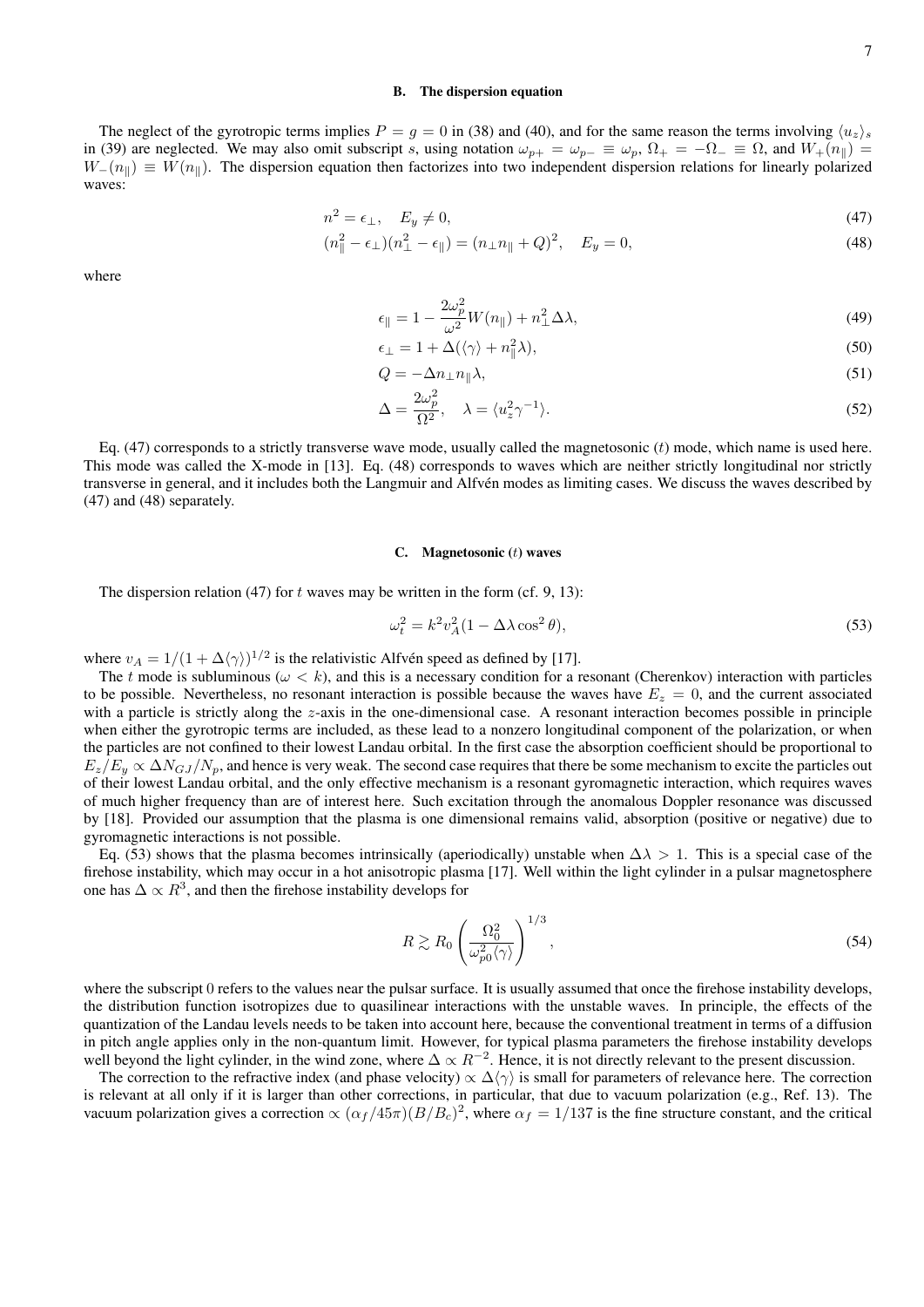## B. The dispersion equation

The neglect of the gyrotropic terms implies  $P = g = 0$  in (38) and (40), and for the same reason the terms involving  $\langle u_z \rangle_s$ in (39) are neglected. We may also omit subscript s, using notation  $\omega_{p+} = \omega_{p-} \equiv \omega_p$ ,  $\Omega_+ = -\Omega_- \equiv \Omega$ , and  $W_+(n_{\parallel}) =$  $W_-(n_k) \equiv W(n_k)$ . The dispersion equation then factorizes into two independent dispersion relations for linearly polarized waves:

$$
n^2 = \epsilon_\perp, \quad E_y \neq 0,\tag{47}
$$

$$
(n_{\parallel}^{2} - \epsilon_{\perp})(n_{\perp}^{2} - \epsilon_{\parallel}) = (n_{\perp}n_{\parallel} + Q)^{2}, \quad E_{y} = 0,
$$
\n(48)

where

$$
\epsilon_{\parallel} = 1 - \frac{2\omega_p^2}{\omega^2} W(n_{\parallel}) + n_{\perp}^2 \Delta \lambda,\tag{49}
$$

$$
\epsilon_{\perp} = 1 + \Delta(\langle \gamma \rangle + n_{\parallel}^2 \lambda),\tag{50}
$$

$$
Q = -\Delta n_{\perp} n_{\parallel} \lambda,\tag{51}
$$

$$
\Delta = \frac{2\omega_p^2}{\Omega^2}, \quad \lambda = \langle u_z^2 \gamma^{-1} \rangle. \tag{52}
$$

Eq.  $(47)$  corresponds to a strictly transverse wave mode, usually called the magnetosonic  $(t)$  mode, which name is used here. This mode was called the X-mode in [13]. Eq. (48) corresponds to waves which are neither strictly longitudinal nor strictly transverse in general, and it includes both the Langmuir and Alfven modes as limiting cases. We discuss the waves described by ´ (47) and (48) separately.

## C. Magnetosonic  $(t)$  waves

The dispersion relation (47) for t waves may be written in the form (cf. 9, 13):

$$
\omega_t^2 = k^2 v_A^2 (1 - \Delta \lambda \cos^2 \theta),\tag{53}
$$

where  $v_A = 1/(1 + \Delta \langle \gamma \rangle)^{1/2}$  is the relativistic Alfvén speed as defined by [17].

The t mode is subluminous ( $\omega < k$ ), and this is a necessary condition for a resonant (Cherenkov) interaction with particles to be possible. Nevertheless, no resonant interaction is possible because the waves have  $E_z = 0$ , and the current associated with a particle is strictly along the z-axis in the one-dimensional case. A resonant interaction becomes possible in principle when either the gyrotropic terms are included, as these lead to a nonzero longitudinal component of the polarization, or when the particles are not confined to their lowest Landau orbital. In the first case the absorption coefficient should be proportional to  $E_z/E_y \propto \Delta N_{GJ}/N_p$ , and hence is very weak. The second case requires that there be some mechanism to excite the particles out of their lowest Landau orbital, and the only effective mechanism is a resonant gyromagnetic interaction, which requires waves of much higher frequency than are of interest here. Such excitation through the anomalous Doppler resonance was discussed by [18]. Provided our assumption that the plasma is one dimensional remains valid, absorption (positive or negative) due to gyromagnetic interactions is not possible.

Eq. (53) shows that the plasma becomes intrinsically (aperiodically) unstable when  $\Delta\lambda > 1$ . This is a special case of the firehose instability, which may occur in a hot anisotropic plasma [17]. Well within the light cylinder in a pulsar magnetosphere one has  $\Delta \propto R^3$ , and then the firehose instability develops for

$$
R \gtrsim R_0 \left(\frac{\Omega_0^2}{\omega_{p0}^2 \langle \gamma \rangle}\right)^{1/3},\tag{54}
$$

where the subscript 0 refers to the values near the pulsar surface. It is usually assumed that once the firehose instability develops, the distribution function isotropizes due to quasilinear interactions with the unstable waves. In principle, the effects of the quantization of the Landau levels needs to be taken into account here, because the conventional treatment in terms of a diffusion in pitch angle applies only in the non-quantum limit. However, for typical plasma parameters the firehose instability develops well beyond the light cylinder, in the wind zone, where  $\Delta \propto R^{-2}$ . Hence, it is not directly relevant to the present discussion.

The correction to the refractive index (and phase velocity)  $\propto \Delta \langle \gamma \rangle$  is small for parameters of relevance here. The correction is relevant at all only if it is larger than other corrections, in particular, that due to vacuum polarization (e.g., Ref. 13). The vacuum polarization gives a correction  $\propto (\alpha_f/45\pi)(B/B_c)^2$ , where  $\alpha_f = 1/137$  is the fine structure constant, and the critical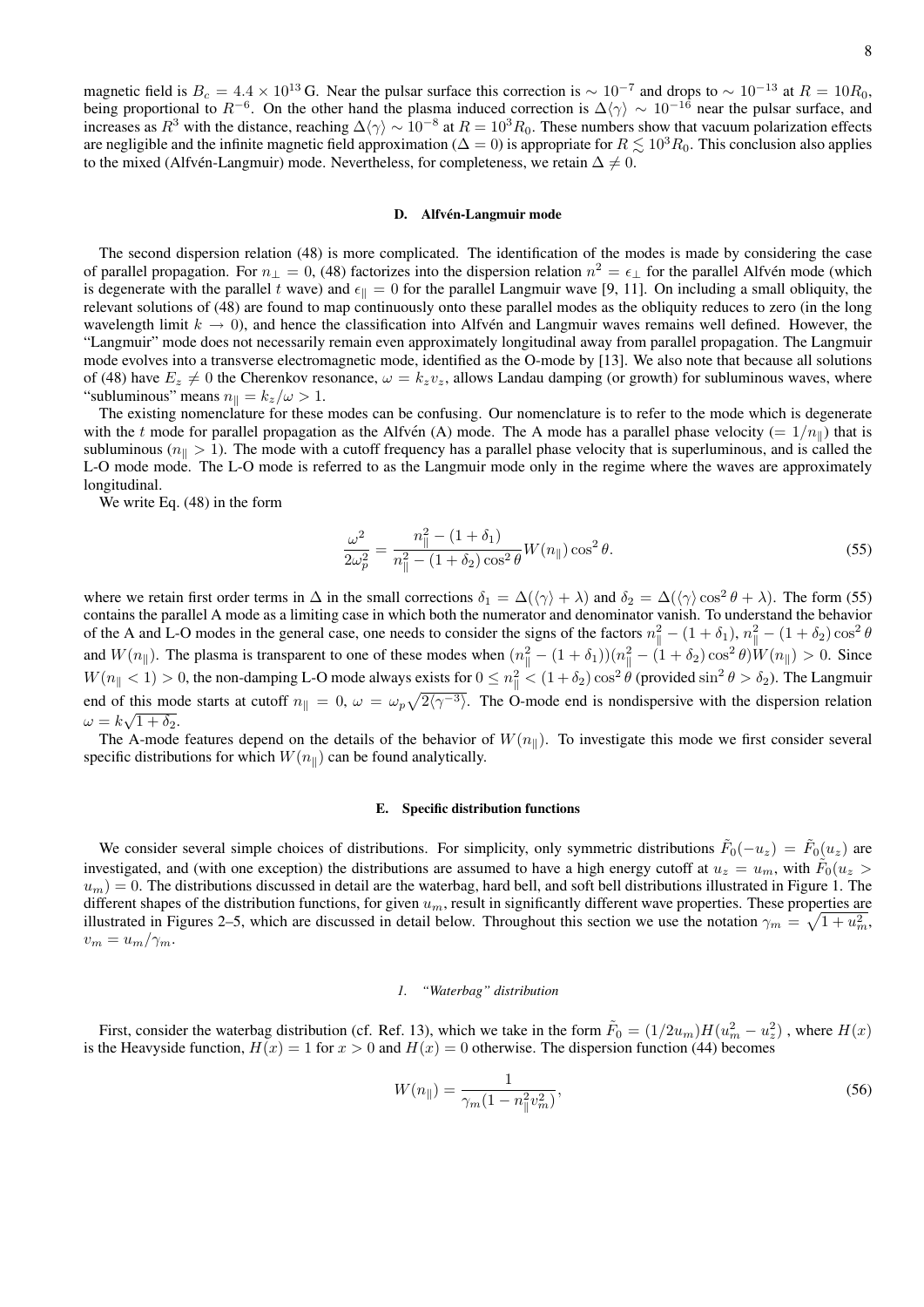magnetic field is  $B_c = 4.4 \times 10^{13}$  G. Near the pulsar surface this correction is  $\sim 10^{-7}$  and drops to  $\sim 10^{-13}$  at  $R = 10R_0$ , being proportional to  $R^{-6}$ . On the other hand the plasma induced correction is  $\Delta\langle\gamma\rangle \sim 10^{-16}$  near the pulsar surface, and increases as  $R^3$  with the distance, reaching  $\Delta\langle\gamma\rangle \sim 10^{-8}$  at  $R = 10^3 R_0$ . These numbers show that vacuum polarization effects are negligible and the infinite magnetic field approximation ( $\Delta = 0$ ) is appropriate for  $R \leq 10^{3} R_0$ . This conclusion also applies to the mixed (Alfvén-Langmuir) mode. Nevertheless, for completeness, we retain  $\Delta \neq 0$ .

# D. Alfvén-Langmuir mode

The second dispersion relation (48) is more complicated. The identification of the modes is made by considering the case of parallel propagation. For  $n_{\perp} = 0$ , (48) factorizes into the dispersion relation  $n^2 = \epsilon_{\perp}$  for the parallel Alfvén mode (which is degenerate with the parallel t wave) and  $\epsilon_{\parallel} = 0$  for the parallel Langmuir wave [9, 11]. On including a small obliquity, the relevant solutions of (48) are found to map continuously onto these parallel modes as the obliquity reduces to zero (in the long wavelength limit  $k \to 0$ ), and hence the classification into Alfvén and Langmuir waves remains well defined. However, the "Langmuir" mode does not necessarily remain even approximately longitudinal away from parallel propagation. The Langmuir mode evolves into a transverse electromagnetic mode, identified as the O-mode by [13]. We also note that because all solutions of (48) have  $E_z \neq 0$  the Cherenkov resonance,  $\omega = k_z v_z$ , allows Landau damping (or growth) for subluminous waves, where "subluminous" means  $n_{\parallel} = k_z/\omega > 1$ .

The existing nomenclature for these modes can be confusing. Our nomenclature is to refer to the mode which is degenerate with the t mode for parallel propagation as the Alfvén (A) mode. The A mode has a parallel phase velocity (=  $1/n_{\parallel}$ ) that is subluminous ( $n_{\parallel} > 1$ ). The mode with a cutoff frequency has a parallel phase velocity that is superluminous, and is called the L-O mode mode. The L-O mode is referred to as the Langmuir mode only in the regime where the waves are approximately longitudinal.

We write Eq. (48) in the form

$$
\frac{\omega^2}{2\omega_p^2} = \frac{n_{\parallel}^2 - (1 + \delta_1)}{n_{\parallel}^2 - (1 + \delta_2)\cos^2\theta} W(n_{\parallel})\cos^2\theta.
$$
\n(55)

where we retain first order terms in  $\Delta$  in the small corrections  $\delta_1 = \Delta(\langle \gamma \rangle + \lambda)$  and  $\delta_2 = \Delta(\langle \gamma \rangle \cos^2 \theta + \lambda)$ . The form (55) contains the parallel A mode as a limiting case in which both the numerator and denominator vanish. To understand the behavior of the A and L-O modes in the general case, one needs to consider the signs of the factors  $n_{\parallel}^2 - (1 + \delta_1)$ ,  $n_{\parallel}^2 - (1 + \delta_2) \cos^2 \theta$ and  $W(n_{\parallel})$ . The plasma is transparent to one of these modes when  $(n_{\parallel}^2 - (1 + \delta_1))(n_{\parallel}^2 - (1 + \delta_2)\cos^2\theta)W(n_{\parallel}) > 0$ . Since  $W(n_{\parallel} < 1) > 0$ , the non-damping L-O mode always exists for  $0 \le n_{\parallel}^2 < (1 + \delta_2) \cos^2 \theta$  (provided  $\sin^2 \theta > \delta_2$ ). The Langmuir end of this mode starts at cutoff  $n_{\parallel} = 0$ ,  $\omega = \omega_p \sqrt{2\langle \gamma^{-3} \rangle}$ . The O-mode end is nondispersive with the dispersion relation  $\omega = k\sqrt{1+\delta_2}.$ 

The A-mode features depend on the details of the behavior of  $W(n_{\parallel})$ . To investigate this mode we first consider several specific distributions for which  $W(n_{\parallel})$  can be found analytically.

#### E. Specific distribution functions

We consider several simple choices of distributions. For simplicity, only symmetric distributions  $\tilde{F}_0(-u_z) = \tilde{F}_0(u_z)$  are investigated, and (with one exception) the distributions are assumed to have a high energy cutoff at  $u_z = u_m$ , with  $\tilde{F}_0(u_z > u_m)$  $u_m$ ) = 0. The distributions discussed in detail are the waterbag, hard bell, and soft bell distributions illustrated in Figure 1. The different shapes of the distribution functions, for given  $u_m$ , result in significantly different wave properties. These properties are illustrated in Figures 2–5, which are discussed in detail below. Throughout this section we use the notation  $\gamma_m = \sqrt{1 + u_m^2}$ ,  $v_m = u_m/\gamma_m$ .

# *1. "Waterbag" distribution*

First, consider the waterbag distribution (cf. Ref. 13), which we take in the form  $\tilde{F}_0 = (1/2u_m)H(u_m^2 - u_z^2)$ , where  $H(x)$ is the Heavyside function,  $H(x) = 1$  for  $x > 0$  and  $H(x) = 0$  otherwise. The dispersion function (44) becomes

$$
W(n_{\parallel}) = \frac{1}{\gamma_m (1 - n_{\parallel}^2 v_m^2)},\tag{56}
$$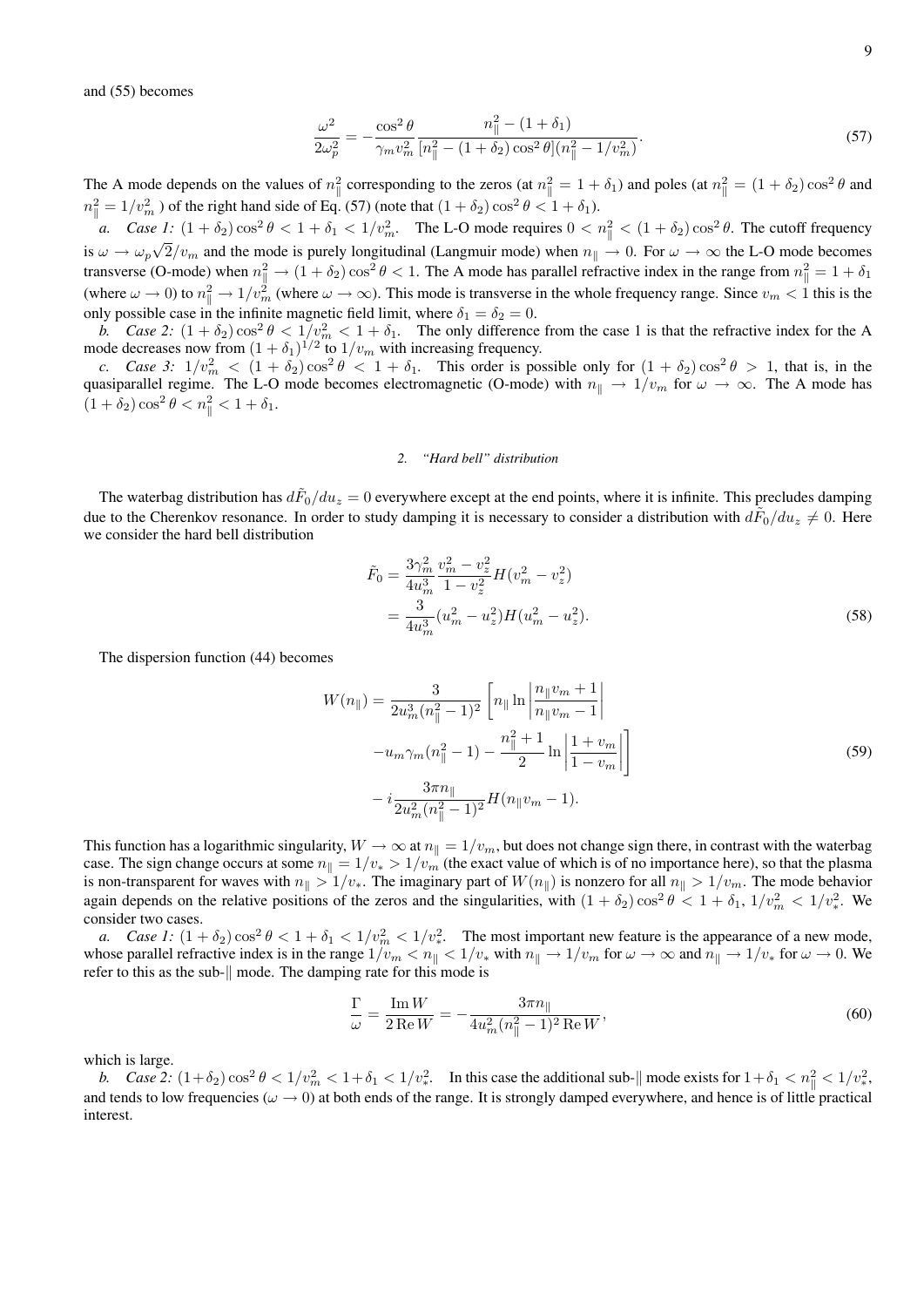and (55) becomes

$$
\frac{\omega^2}{2\omega_p^2} = -\frac{\cos^2\theta}{\gamma_m v_m^2} \frac{n_{\parallel}^2 - (1+\delta_1)}{[n_{\parallel}^2 - (1+\delta_2)\cos^2\theta](n_{\parallel}^2 - 1/v_m^2)}.
$$
\n(57)

The A mode depends on the values of  $n_{\parallel}^2$  corresponding to the zeros (at  $n_{\parallel}^2 = 1 + \delta_1$ ) and poles (at  $n_{\parallel}^2 = (1 + \delta_2) \cos^2 \theta$  and  $n_{\parallel}^2 = 1/v_m^2$  ) of the right hand side of Eq. (57) (note that  $(1 + \delta_2) \cos^2 \theta < 1 + \delta_1$ ).

*a.* Case 1:  $(1 + \delta_2) \cos^2 \theta < 1 + \delta_1 < 1/v_m^2$ . The L-O mode requires  $0 < n_\parallel^2 < (1 + \delta_2) \cos^2 \theta$ . The cutoff frequency is  $\omega \to \omega_p \sqrt{2/v_m}$  and the mode is purely longitudinal (Langmuir mode) when  $n_{\parallel} \to 0$ . For  $\omega \to \infty$  the L-O mode becomes transverse (O-mode) when  $n_{\parallel}^2 \rightarrow (1 + \delta_2) \cos^2 \theta < 1$ . The A mode has parallel refractive index in the range from  $n_{\parallel}^2 = 1 + \delta_1$ (where  $\omega \to 0$ ) to  $n_{\parallel}^2 \to 1/v_m^2$  (where  $\omega \to \infty$ ). This mode is transverse in the whole frequency range. Since  $v_m < 1$  this is the only possible case in the infinite magnetic field limit, where  $\delta_1 = \delta_2 = 0$ .

*b.* Case 2:  $(1 + \delta_2) \cos^2 \theta < 1/v_m^2 < 1 + \delta_1$ . The only difference from the case 1 is that the refractive index for the A mode decreases now from  $(1 + \delta_1)^{1/2}$  to  $1/v_m$  with increasing frequency.

*c.* Case 3:  $1/v_m^2 < (1 + \delta_2) \cos^2 \theta < 1 + \delta_1$ . This order is possible only for  $(1 + \delta_2) \cos^2 \theta > 1$ , that is, in the quasiparallel regime. The L-O mode becomes electromagnetic (O-mode) with  $n_{\parallel} \to 1/v_m$  for  $\omega \to \infty$ . The A mode has  $(1+\delta_2)\cos^2\theta < n_{\parallel}^2 < 1+\delta_1.$ 

### *2. "Hard bell" distribution*

The waterbag distribution has  $d\tilde{F}_0/du_z=0$  everywhere except at the end points, where it is infinite. This precludes damping due to the Cherenkov resonance. In order to study damping it is necessary to consider a distribution with  $d\tilde{F}_0/du_z \neq 0$ . Here we consider the hard bell distribution

$$
\tilde{F}_0 = \frac{3\gamma_m^2}{4u_m^3} \frac{v_m^2 - v_z^2}{1 - v_z^2} H(v_m^2 - v_z^2)
$$
  
= 
$$
\frac{3}{4u_m^3} (u_m^2 - u_z^2) H(u_m^2 - u_z^2).
$$
 (58)

The dispersion function (44) becomes

$$
W(n_{\parallel}) = \frac{3}{2u_m^3(n_{\parallel}^2 - 1)^2} \left[ n_{\parallel} \ln \left| \frac{n_{\parallel} v_m + 1}{n_{\parallel} v_m - 1} \right| \right]
$$

$$
-u_m \gamma_m(n_{\parallel}^2 - 1) - \frac{n_{\parallel}^2 + 1}{2} \ln \left| \frac{1 + v_m}{1 - v_m} \right| \right]
$$

$$
-i \frac{3\pi n_{\parallel}}{2u_m^2(n_{\parallel}^2 - 1)^2} H(n_{\parallel} v_m - 1).
$$
(59)

This function has a logarithmic singularity,  $W \to \infty$  at  $n_{\parallel} = 1/v_m$ , but does not change sign there, in contrast with the waterbag case. The sign change occurs at some  $n_{\parallel} = 1/v_* > 1/v_m$  (the exact value of which is of no importance here), so that the plasma is non-transparent for waves with  $n_{\parallel} > 1/v_*$ . The imaginary part of  $W(n_{\parallel})$  is nonzero for all  $n_{\parallel} > 1/v_m$ . The mode behavior again depends on the relative positions of the zeros and the singularities, with  $(1 + \delta_2)\cos^2\theta < 1 + \delta_1$ ,  $1/v_m^2 < 1/v_*^2$ . We consider two cases.

*a.* Case 1:  $(1 + \delta_2) \cos^2 \theta < 1 + \delta_1 < 1/v_m^2 < 1/v_*^2$ . The most important new feature is the appearance of a new mode, whose parallel refractive index is in the range  $1/v_m < n_{\parallel} < 1/v_*$  with  $n_{\parallel} \to 1/v_m$  for  $\omega \to \infty$  and  $n_{\parallel} \to 1/v_*$  for  $\omega \to 0$ . We refer to this as the sub- $\parallel$  mode. The damping rate for this mode is

$$
\frac{\Gamma}{\omega} = \frac{\text{Im}\,W}{2\,\text{Re}\,W} = -\frac{3\pi n_{\parallel}}{4u_m^2 (n_{\parallel}^2 - 1)^2\,\text{Re}\,W},\tag{60}
$$

which is large.

*b.* Case 2:  $(1+\delta_2)\cos^2\theta < 1/v_m^2 < 1+\delta_1 < 1/v_*^2$ . In this case the additional sub- $\|$  mode exists for  $1+\delta_1 < n_{\|}^2 < 1/v_*^2$ , and tends to low frequencies ( $\omega \to 0$ ) at both ends of the range. It is strongly damped everywhere, and hence is of little practical interest.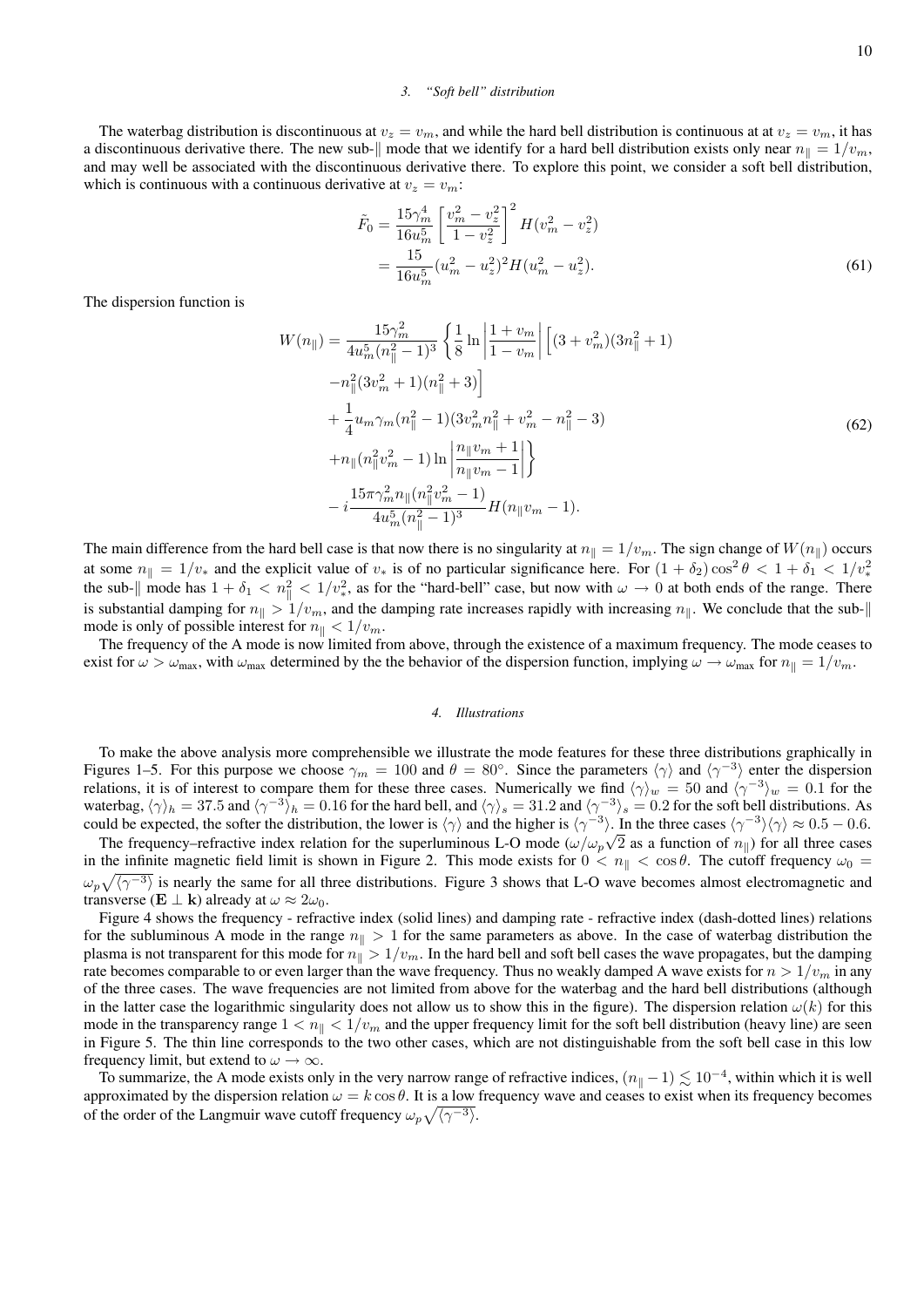### *3. "Soft bell" distribution*

The waterbag distribution is discontinuous at  $v_z = v_m$ , and while the hard bell distribution is continuous at at  $v_z = v_m$ , it has a discontinuous derivative there. The new sub- $\|$  mode that we identify for a hard bell distribution exists only near  $n_{\|} = 1/v_m$ , and may well be associated with the discontinuous derivative there. To explore this point, we consider a soft bell distribution, which is continuous with a continuous derivative at  $v_z = v_m$ :

$$
\tilde{F}_0 = \frac{15\gamma_m^4}{16u_m^5} \left[ \frac{v_m^2 - v_z^2}{1 - v_z^2} \right]^2 H(v_m^2 - v_z^2)
$$
  
= 
$$
\frac{15}{16u_m^5} (u_m^2 - u_z^2)^2 H(u_m^2 - u_z^2).
$$
 (61)

The dispersion function is

$$
W(n_{\parallel}) = \frac{15\gamma_m^2}{4u_m^5(n_{\parallel}^2 - 1)^3} \left\{ \frac{1}{8} \ln \left| \frac{1 + v_m}{1 - v_m} \right| \left[ (3 + v_m^2)(3n_{\parallel}^2 + 1) -n_{\parallel}^2(3v_m^2 + 1)(n_{\parallel}^2 + 3) \right] \right\}
$$
  
+ 
$$
\frac{1}{4}u_m\gamma_m(n_{\parallel}^2 - 1)(3v_m^2n_{\parallel}^2 + v_m^2 - n_{\parallel}^2 - 3) + n_{\parallel}(n_{\parallel}^2v_m^2 - 1)\ln \left| \frac{n_{\parallel}v_m + 1}{n_{\parallel}v_m - 1} \right| \right\}
$$
  
- 
$$
\frac{15\pi\gamma_m^2n_{\parallel}(n_{\parallel}^2v_m^2 - 1)}{4u_m^5(n_{\parallel}^2 - 1)^3}H(n_{\parallel}v_m - 1).
$$
 (62)

The main difference from the hard bell case is that now there is no singularity at  $n_{\parallel} = 1/v_m$ . The sign change of  $W(n_{\parallel})$  occurs at some  $n_{\parallel} = 1/v_*$  and the explicit value of  $v_*$  is of no particular significance here. For  $(1 + \delta_2) \cos^2 \theta < 1 + \delta_1 < 1/v_*^2$ the sub- $\|$  mode has  $1 + \delta_1 < n_{\|}^2 < 1/v_*^2$ , as for the "hard-bell" case, but now with  $\omega \to 0$  at both ends of the range. There is substantial damping for  $n_{\parallel} > 1/v_m$ , and the damping rate increases rapidly with increasing  $n_{\parallel}$ . We conclude that the submode is only of possible interest for  $n_{\parallel} < 1/v_m$ .

The frequency of the A mode is now limited from above, through the existence of a maximum frequency. The mode ceases to exist for  $\omega > \omega_{\text{max}}$ , with  $\omega_{\text{max}}$  determined by the the behavior of the dispersion function, implying  $\omega \to \omega_{\text{max}}$  for  $n_{\parallel} = 1/v_m$ .

#### *4. Illustrations*

To make the above analysis more comprehensible we illustrate the mode features for these three distributions graphically in Figures 1–5. For this purpose we choose  $\gamma_m = 100$  and  $\theta = 80^\circ$ . Since the parameters  $\langle \gamma \rangle$  and  $\langle \gamma^{-3} \rangle$  enter the dispersion relations, it is of interest to compare them for these three cases. Numerically we find  $\langle \gamma \rangle_w = 50$  and  $\langle \gamma^{-3} \rangle_w = 0.1$  for the waterbag,  $\langle \gamma \rangle_h = 37.5$  and  $\langle \gamma^{-3} \rangle_h = 0.16$  for the hard bell, and  $\langle \gamma \rangle_s = 31.2$  and  $\langle \gamma^{-3} \rangle_s = 0.2$  for the soft bell distributions. As could be expected, the softer the distribution, the lower is  $\langle \gamma \rangle$  and the higher is  $\langle \gamma^{-3} \rangle$ . In the three cases  $\langle \gamma^{-3} \rangle \langle \gamma \rangle \approx 0.5 - 0.6$ .

The frequency–refractive index relation for the superluminous L-O mode  $(\omega/\omega_p\sqrt{2})$  as a function of  $n_{\parallel}$ ) for all three cases in the infinite magnetic field limit is shown in Figure 2. This mode exists for  $0 < n_{\parallel} < \cos \theta$ . The cutoff frequency  $\omega_0 =$  $\omega_p\sqrt{\langle\gamma^{-3}\rangle}$  is nearly the same for all three distributions. Figure 3 shows that L-O wave becomes almost electromagnetic and transverse (**E**  $\perp$  **k**) already at  $\omega \approx 2\omega_0$ .

Figure 4 shows the frequency - refractive index (solid lines) and damping rate - refractive index (dash-dotted lines) relations for the subluminous A mode in the range  $n_{\parallel} > 1$  for the same parameters as above. In the case of waterbag distribution the plasma is not transparent for this mode for  $n_{\parallel} > 1/v_m$ . In the hard bell and soft bell cases the wave propagates, but the damping rate becomes comparable to or even larger than the wave frequency. Thus no weakly damped A wave exists for  $n > 1/v_m$  in any of the three cases. The wave frequencies are not limited from above for the waterbag and the hard bell distributions (although in the latter case the logarithmic singularity does not allow us to show this in the figure). The dispersion relation  $\omega(k)$  for this mode in the transparency range  $1 < n_{\parallel} < 1/v_m$  and the upper frequency limit for the soft bell distribution (heavy line) are seen in Figure 5. The thin line corresponds to the two other cases, which are not distinguishable from the soft bell case in this low frequency limit, but extend to  $\omega \rightarrow \infty$ .

To summarize, the A mode exists only in the very narrow range of refractive indices,  $(n_{\parallel}-1) \lesssim 10^{-4}$ , within which it is well approximated by the dispersion relation  $\omega = k \cos \theta$ . It is a low frequency wave and ceases to exist when its frequency becomes of the order of the Langmuir wave cutoff frequency  $\omega_p \sqrt{\langle \gamma^{-3} \rangle}$ .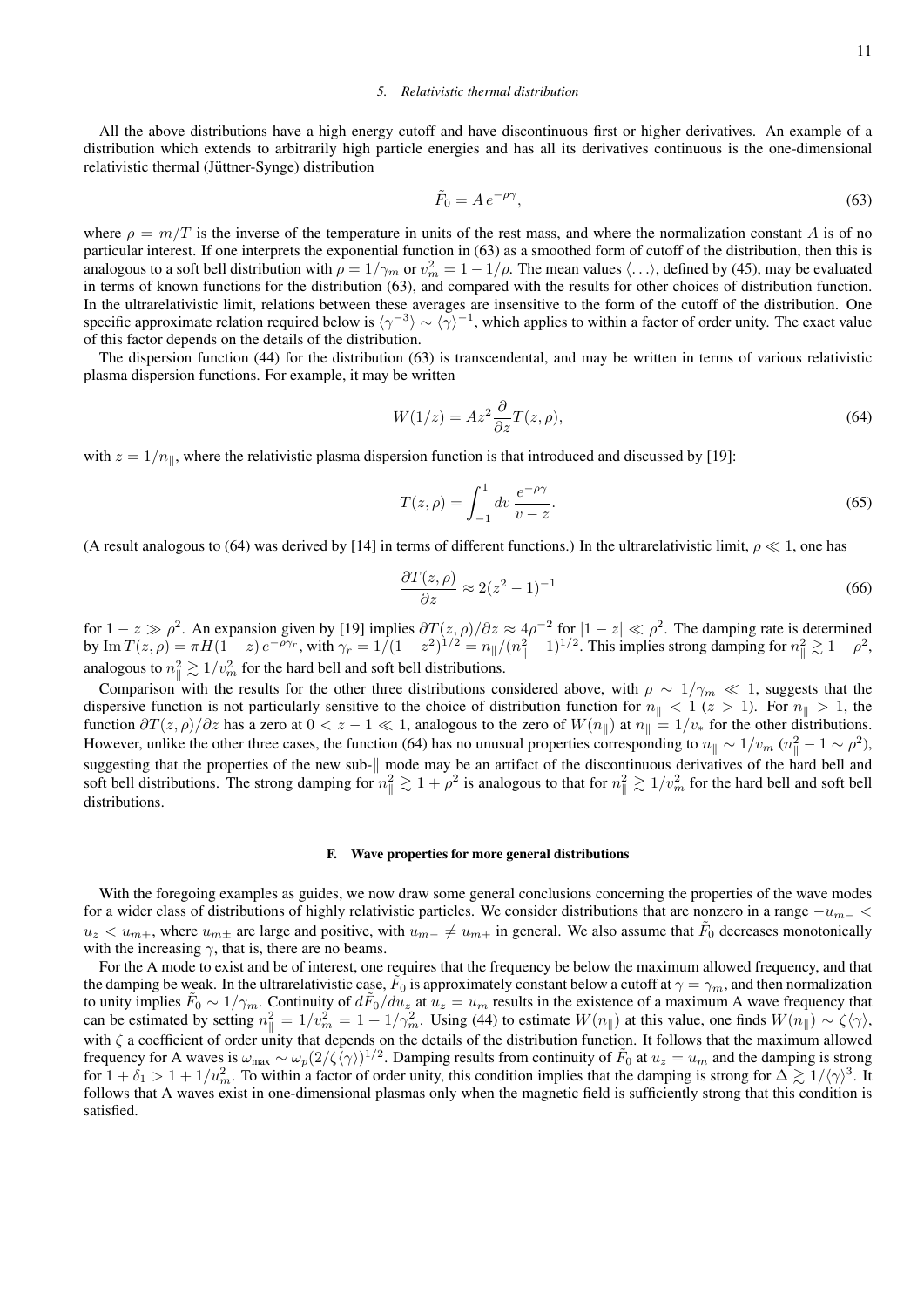# *5. Relativistic thermal distribution*

All the above distributions have a high energy cutoff and have discontinuous first or higher derivatives. An example of a distribution which extends to arbitrarily high particle energies and has all its derivatives continuous is the one-dimensional relativistic thermal (Jüttner-Synge) distribution

$$
\tilde{F}_0 = A e^{-\rho \gamma},\tag{63}
$$

where  $\rho = m/T$  is the inverse of the temperature in units of the rest mass, and where the normalization constant A is of no particular interest. If one interprets the exponential function in (63) as a smoothed form of cutoff of the distribution, then this is analogous to a soft bell distribution with  $\rho = 1/\gamma_m$  or  $v_m^2 = 1 - 1/\rho$ . The mean values  $\langle \ldots \rangle$ , defined by (45), may be evaluated in terms of known functions for the distribution (63), and compared with the results for other choices of distribution function. In the ultrarelativistic limit, relations between these averages are insensitive to the form of the cutoff of the distribution. One specific approximate relation required below is  $\langle \gamma^{-3} \rangle \sim \langle \gamma \rangle^{-1}$ , which applies to within a factor of order unity. The exact value of this factor depends on the details of the distribution.

The dispersion function (44) for the distribution (63) is transcendental, and may be written in terms of various relativistic plasma dispersion functions. For example, it may be written

$$
W(1/z) = Az^2 \frac{\partial}{\partial z} T(z, \rho),\tag{64}
$$

with  $z = 1/n_{\parallel}$ , where the relativistic plasma dispersion function is that introduced and discussed by [19]:

$$
T(z,\rho) = \int_{-1}^{1} dv \, \frac{e^{-\rho \gamma}}{v - z}.\tag{65}
$$

(A result analogous to (64) was derived by [14] in terms of different functions.) In the ultrarelativistic limit,  $\rho \ll 1$ , one has

$$
\frac{\partial T(z,\rho)}{\partial z} \approx 2(z^2 - 1)^{-1} \tag{66}
$$

for  $1-z \gg \rho^2$ . An expansion given by [19] implies  $\frac{\partial T(z,\rho)}{\partial z} \approx 4\rho^{-2}$  for  $|1-z| \ll \rho^2$ . The damping rate is determined by Im  $T(z,\rho) = \pi H(1-z) e^{-\rho \gamma_r}$ , with  $\gamma_r = 1/(1-z^2)^{1/2} = n_{\parallel}/(n_{\parallel}^2-1)^{1/2}$ . This implies strong damping for  $n_{\parallel}^2 \gtrsim 1-\rho^2$ , analogous to  $n_{\parallel}^2 \gtrsim 1/v_m^2$  for the hard bell and soft bell distributions.

Comparison with the results for the other three distributions considered above, with  $\rho \sim 1/\gamma_m \ll 1$ , suggests that the dispersive function is not particularly sensitive to the choice of distribution function for  $n_{\parallel} < 1$  ( $z > 1$ ). For  $n_{\parallel} > 1$ , the function  $\partial T(z, \rho)/\partial z$  has a zero at  $0 < z - 1 \ll 1$ , analogous to the zero of  $W(n_{\parallel})$  at  $n_{\parallel} = 1/v_*$  for the other distributions. However, unlike the other three cases, the function (64) has no unusual properties corresponding to  $n_{\parallel} \sim 1/v_m$  ( $n_{\parallel}^2 - 1 \sim \rho^2$ ), suggesting that the properties of the new sub- $\parallel$  mode may be an artifact of the discontinuous derivatives of the hard bell and soft bell distributions. The strong damping for  $n_{\parallel}^2 \gtrsim 1 + \rho^2$  is analogous to that for  $n_{\parallel}^2 \gtrsim 1/v_m^2$  for the hard bell and soft bell distributions.

### F. Wave properties for more general distributions

With the foregoing examples as guides, we now draw some general conclusions concerning the properties of the wave modes for a wider class of distributions of highly relativistic particles. We consider distributions that are nonzero in a range  $-u_{m-}$  <  $u_z < u_{m+}$ , where  $u_{m+}$  are large and positive, with  $u_{m-} \neq u_{m+}$  in general. We also assume that  $\tilde{F}_0$  decreases monotonically with the increasing  $\gamma$ , that is, there are no beams.

For the A mode to exist and be of interest, one requires that the frequency be below the maximum allowed frequency, and that the damping be weak. In the ultrarelativistic case,  $\tilde{F}_0$  is approximately constant below a cutoff at  $\gamma = \gamma_m$ , and then normalization to unity implies  $\tilde{F}_0 \sim 1/\gamma_m$ . Continuity of  $d\tilde{F}_0/du_z$  at  $u_z = u_m$  results in the existence of a maximum A wave frequency that can be estimated by setting  $n_{\parallel}^2 = 1/v_m^2 = 1 + 1/\gamma_m^2$ . Using (44) to estimate  $W(n_{\parallel})$  at this value, one finds  $W(n_{\parallel}) \sim \zeta \langle \gamma \rangle$ , with ζ a coefficient of order unity that depends on the details of the distribution function. It follows that the maximum allowed frequency for A waves is  $\omega_{\text{max}} \sim \omega_p (2/\zeta \langle \gamma \rangle)^{1/2}$ . Damping results from continuity of  $\tilde{F}_0$  at  $u_z = u_m$  and the damping is strong for  $1 + \delta_1 > 1 + 1/u_m^2$ . To within a factor of order unity, this condition implies that the damping is strong for  $\Delta \gtrsim 1/\langle \gamma \rangle^3$ . It follows that A waves exist in one-dimensional plasmas only when the magnetic field is sufficiently strong that this condition is satisfied.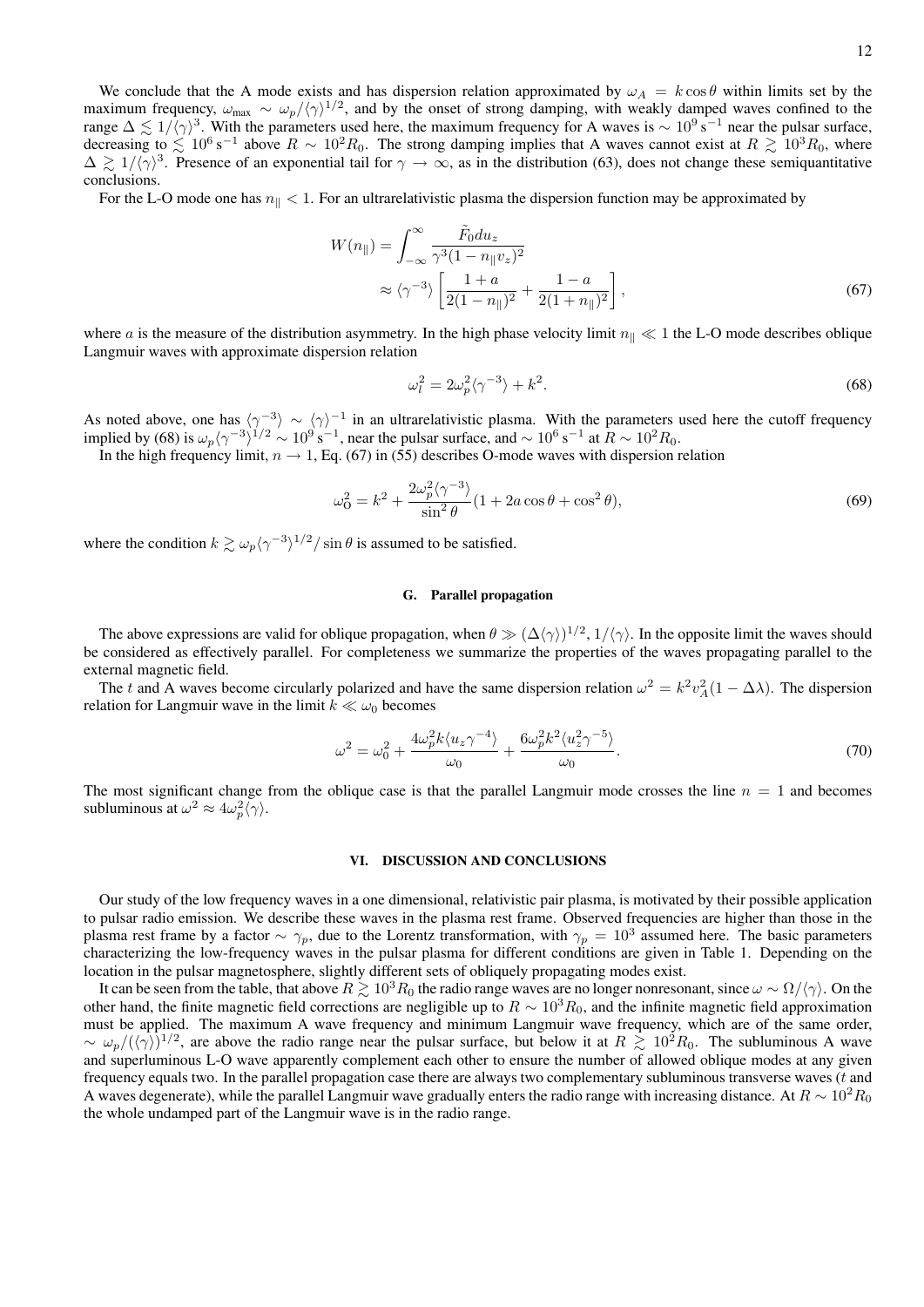12

We conclude that the A mode exists and has dispersion relation approximated by  $\omega_A = k \cos \theta$  within limits set by the maximum frequency,  $\omega_{\text{max}} \sim \omega_p / \langle \gamma \rangle^{1/2}$ , and by the onset of strong damping, with weakly damped waves confined to the range  $\Delta \lesssim 1/\langle \gamma \rangle^3$ . With the parameters used here, the maximum frequency for A waves is  $\sim 10^9$  s<sup>-1</sup> near the pulsar surface, decreasing to  $\lesssim 10^6$  s<sup>-1</sup> above  $R \sim 10^2 R_0$ . The strong damping implies that A waves cannot exist at  $R \gtrsim 10^3 R_0$ , where  $\Delta \gtrsim 1/\langle \gamma \rangle^3$ . Presence of an exponential tail for  $\gamma \to \infty$ , as in the distribution (63), does not change these semiquantitative conclusions.

For the L-O mode one has  $n_{\parallel} < 1$ . For an ultrarelativistic plasma the dispersion function may be approximated by

$$
W(n_{\parallel}) = \int_{-\infty}^{\infty} \frac{\tilde{F}_0 du_z}{\gamma^3 (1 - n_{\parallel} v_z)^2} \approx \langle \gamma^{-3} \rangle \left[ \frac{1 + a}{2(1 - n_{\parallel})^2} + \frac{1 - a}{2(1 + n_{\parallel})^2} \right],
$$
\n(67)

where a is the measure of the distribution asymmetry. In the high phase velocity limit  $n_{\parallel} \ll 1$  the L-O mode describes oblique Langmuir waves with approximate dispersion relation

$$
\omega_l^2 = 2\omega_p^2 \langle \gamma^{-3} \rangle + k^2. \tag{68}
$$

As noted above, one has  $\langle \gamma^{-3} \rangle \sim \langle \gamma \rangle^{-1}$  in an ultrarelativistic plasma. With the parameters used here the cutoff frequency implied by (68) is  $\omega_p \langle \gamma^{-3} \rangle^{1/2} \sim 10^9 \text{ s}^{-1}$ , near the pulsar surface, and  $\sim 10^6 \text{ s}^{-1}$  at  $R \sim 10^2 R_0$ .

In the high frequency limit,  $n \to 1$ , Eq. (67) in (55) describes O-mode waves with dispersion relation

$$
\omega_0^2 = k^2 + \frac{2\omega_p^2 \langle \gamma^{-3} \rangle}{\sin^2 \theta} (1 + 2a \cos \theta + \cos^2 \theta),
$$
 (69)

where the condition  $k \gtrsim \omega_p \langle \gamma^{-3} \rangle^{1/2} / \sin \theta$  is assumed to be satisfied.

### G. Parallel propagation

The above expressions are valid for oblique propagation, when  $\theta \gg (\Delta \langle \gamma \rangle)^{1/2}$ ,  $1/\langle \gamma \rangle$ . In the opposite limit the waves should be considered as effectively parallel. For completeness we summarize the properties of the waves propagating parallel to the external magnetic field.

The t and A waves become circularly polarized and have the same dispersion relation  $\omega^2 = k^2 v_A^2 (1 - \Delta \lambda)$ . The dispersion relation for Langmuir wave in the limit  $k \ll \omega_0$  becomes

$$
\omega^2 = \omega_0^2 + \frac{4\omega_p^2 k \langle u_z \gamma^{-4} \rangle}{\omega_0} + \frac{6\omega_p^2 k^2 \langle u_z^2 \gamma^{-5} \rangle}{\omega_0}.
$$
\n(70)

The most significant change from the oblique case is that the parallel Langmuir mode crosses the line  $n = 1$  and becomes subluminous at  $\omega^2 \approx 4\omega_p^2 \langle \gamma \rangle$ .

# VI. DISCUSSION AND CONCLUSIONS

Our study of the low frequency waves in a one dimensional, relativistic pair plasma, is motivated by their possible application to pulsar radio emission. We describe these waves in the plasma rest frame. Observed frequencies are higher than those in the plasma rest frame by a factor  $\sim \gamma_p$ , due to the Lorentz transformation, with  $\gamma_p = 10^3$  assumed here. The basic parameters characterizing the low-frequency waves in the pulsar plasma for different conditions are given in Table 1. Depending on the location in the pulsar magnetosphere, slightly different sets of obliquely propagating modes exist.

It can be seen from the table, that above  $R \geq 10^3 R_0$  the radio range waves are no longer nonresonant, since  $\omega \sim \Omega/\langle \gamma \rangle$ . On the other hand, the finite magnetic field corrections are negligible up to  $R \sim 10^3 R_0$ , and the infinite magnetic field approximation must be applied. The maximum A wave frequency and minimum Langmuir wave frequency, which are of the same order,  $\sim \omega_p/(\langle \gamma \rangle)^{1/2}$ , are above the radio range near the pulsar surface, but below it at  $R \gtrsim 10^2 R_0$ . The subluminous A wave and superluminous L-O wave apparently complement each other to ensure the number of allowed oblique modes at any given frequency equals two. In the parallel propagation case there are always two complementary subluminous transverse waves  $(t$  and A waves degenerate), while the parallel Langmuir wave gradually enters the radio range with increasing distance. At  $R \sim 10^2 R_0$ the whole undamped part of the Langmuir wave is in the radio range.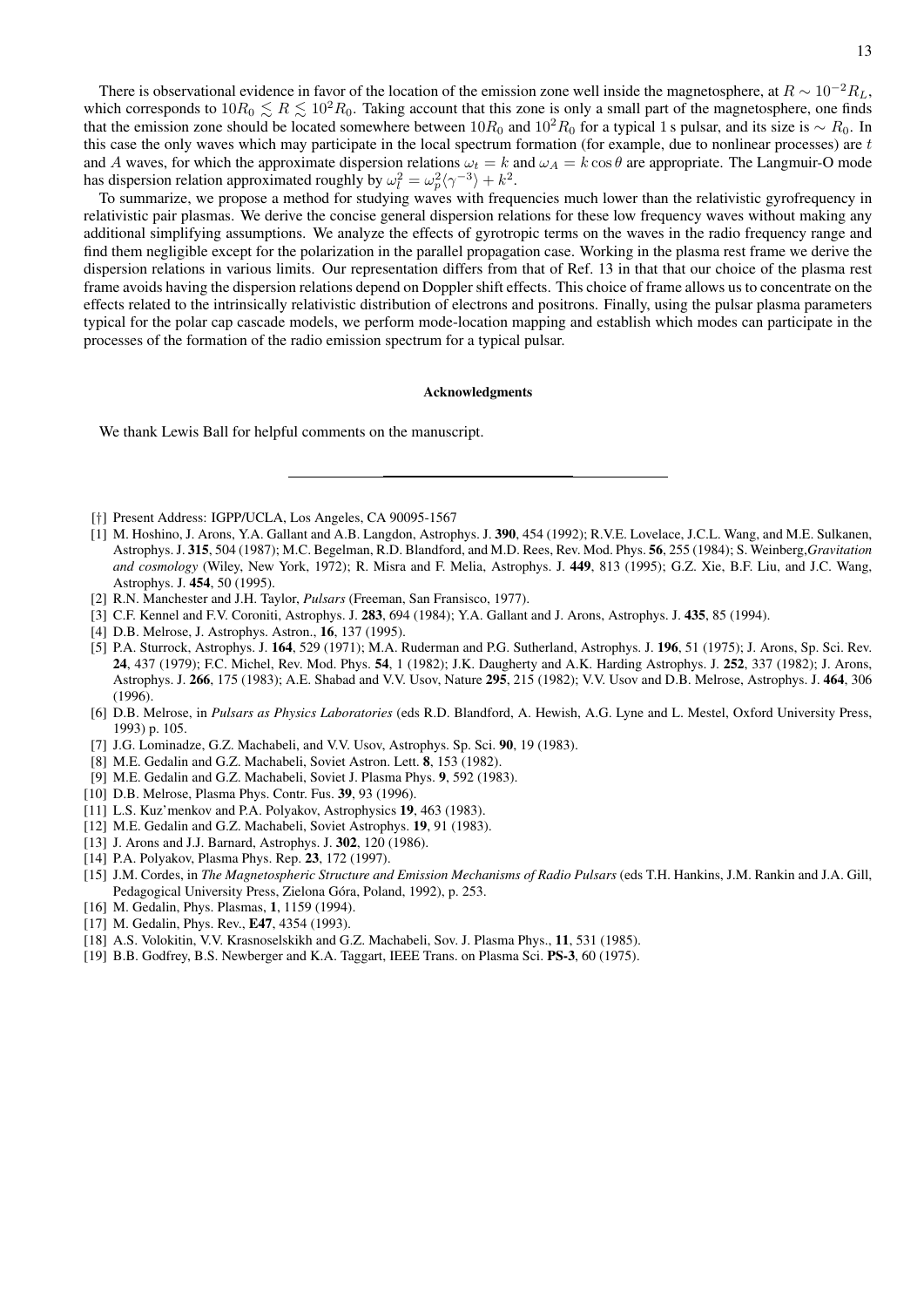There is observational evidence in favor of the location of the emission zone well inside the magnetosphere, at  $R \sim 10^{-2} R_L$ , which corresponds to  $10R_0 \lesssim R \lesssim 10^2 R_0$ . Taking account that this zone is only a small part of the magnetosphere, one finds that the emission zone should be located somewhere between  $10R_0$  and  $10^2R_0$  for a typical 1 s pulsar, and its size is ~ R<sub>0</sub>. In this case the only waves which may participate in the local spectrum formation (for example, due to nonlinear processes) are  $t$ and A waves, for which the approximate dispersion relations  $\omega_t = k$  and  $\omega_A = k \cos \theta$  are appropriate. The Langmuir-O mode has dispersion relation approximated roughly by  $\omega_l^2 = \omega_p^2 \langle \gamma^{-3} \rangle + k^2$ .

To summarize, we propose a method for studying waves with frequencies much lower than the relativistic gyrofrequency in relativistic pair plasmas. We derive the concise general dispersion relations for these low frequency waves without making any additional simplifying assumptions. We analyze the effects of gyrotropic terms on the waves in the radio frequency range and find them negligible except for the polarization in the parallel propagation case. Working in the plasma rest frame we derive the dispersion relations in various limits. Our representation differs from that of Ref. 13 in that that our choice of the plasma rest frame avoids having the dispersion relations depend on Doppler shift effects. This choice of frame allows us to concentrate on the effects related to the intrinsically relativistic distribution of electrons and positrons. Finally, using the pulsar plasma parameters typical for the polar cap cascade models, we perform mode-location mapping and establish which modes can participate in the processes of the formation of the radio emission spectrum for a typical pulsar.

#### Acknowledgments

We thank Lewis Ball for helpful comments on the manuscript.

- [†] Present Address: IGPP/UCLA, Los Angeles, CA 90095-1567
- [1] M. Hoshino, J. Arons, Y.A. Gallant and A.B. Langdon, Astrophys. J. 390, 454 (1992); R.V.E. Lovelace, J.C.L. Wang, and M.E. Sulkanen, Astrophys. J. 315, 504 (1987); M.C. Begelman, R.D. Blandford, and M.D. Rees, Rev. Mod. Phys. 56, 255 (1984); S. Weinberg,*Gravitation and cosmology* (Wiley, New York, 1972); R. Misra and F. Melia, Astrophys. J. 449, 813 (1995); G.Z. Xie, B.F. Liu, and J.C. Wang, Astrophys. J. 454, 50 (1995).
- [2] R.N. Manchester and J.H. Taylor, *Pulsars* (Freeman, San Fransisco, 1977).
- [3] C.F. Kennel and F.V. Coroniti, Astrophys. J. 283, 694 (1984); Y.A. Gallant and J. Arons, Astrophys. J. 435, 85 (1994).
- [4] D.B. Melrose, J. Astrophys. Astron., **16**, 137 (1995).
- [5] P.A. Sturrock, Astrophys. J. 164, 529 (1971); M.A. Ruderman and P.G. Sutherland, Astrophys. J. 196, 51 (1975); J. Arons, Sp. Sci. Rev. 24, 437 (1979); F.C. Michel, Rev. Mod. Phys. 54, 1 (1982); J.K. Daugherty and A.K. Harding Astrophys. J. 252, 337 (1982); J. Arons, Astrophys. J. 266, 175 (1983); A.E. Shabad and V.V. Usov, Nature 295, 215 (1982); V.V. Usov and D.B. Melrose, Astrophys. J. 464, 306 (1996).
- [6] D.B. Melrose, in *Pulsars as Physics Laboratories* (eds R.D. Blandford, A. Hewish, A.G. Lyne and L. Mestel, Oxford University Press, 1993) p. 105.
- [7] J.G. Lominadze, G.Z. Machabeli, and V.V. Usov, Astrophys. Sp. Sci. 90, 19 (1983).
- [8] M.E. Gedalin and G.Z. Machabeli, Soviet Astron. Lett. 8, 153 (1982).
- [9] M.E. Gedalin and G.Z. Machabeli, Soviet J. Plasma Phys. 9, 592 (1983).
- [10] D.B. Melrose, Plasma Phys. Contr. Fus. 39, 93 (1996).
- [11] L.S. Kuz'menkov and P.A. Polyakov, Astrophysics 19, 463 (1983).
- [12] M.E. Gedalin and G.Z. Machabeli, Soviet Astrophys. 19, 91 (1983).
- [13] J. Arons and J.J. Barnard, Astrophys. J. 302, 120 (1986).
- [14] P.A. Polyakov, Plasma Phys. Rep. 23, 172 (1997).
- [15] J.M. Cordes, in *The Magnetospheric Structure and Emission Mechanisms of Radio Pulsars* (eds T.H. Hankins, J.M. Rankin and J.A. Gill, Pedagogical University Press, Zielona Góra, Poland, 1992), p. 253.
- [16] M. Gedalin, Phys. Plasmas, 1, 1159 (1994).
- [17] M. Gedalin, Phys. Rev., **E47**, 4354 (1993).
- [18] A.S. Volokitin, V.V. Krasnoselskikh and G.Z. Machabeli, Sov. J. Plasma Phys., 11, 531 (1985).
- [19] B.B. Godfrey, B.S. Newberger and K.A. Taggart, IEEE Trans. on Plasma Sci. PS-3, 60 (1975).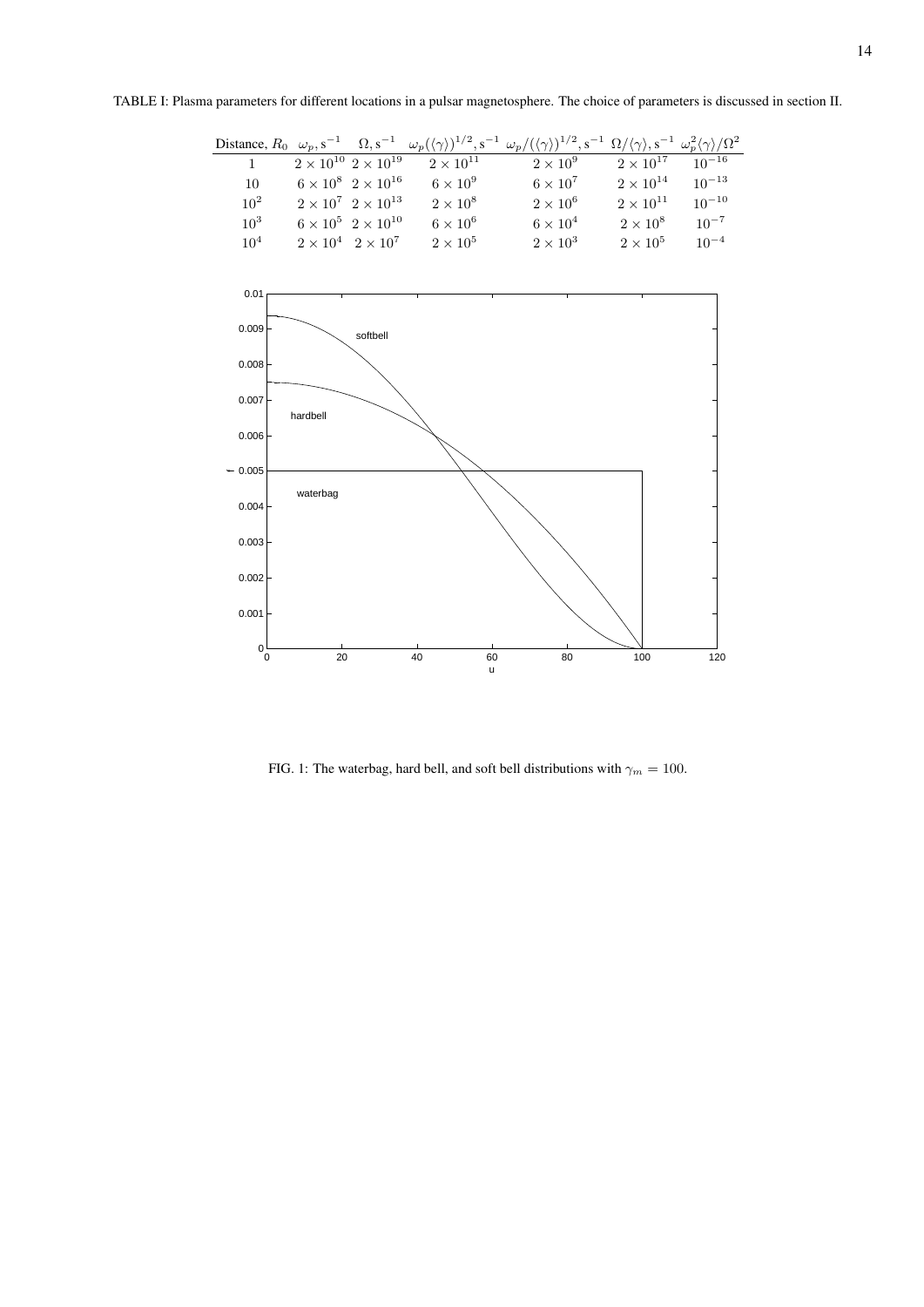TABLE I: Plasma parameters for different locations in a pulsar magnetosphere. The choice of parameters is discussed in section II.

|                 |                                       |                    | Distance, $R_0 \omega_p$ , $s^{-1} \Omega$ , $s^{-1} \omega_p(\langle \gamma \rangle)^{1/2}$ , $s^{-1} \omega_p/(\langle \gamma \rangle)^{1/2}$ , $s^{-1} \Omega/\langle \gamma \rangle$ , $s^{-1} \omega_p^2 \langle \gamma \rangle/\Omega^2$ |                               |            |
|-----------------|---------------------------------------|--------------------|------------------------------------------------------------------------------------------------------------------------------------------------------------------------------------------------------------------------------------------------|-------------------------------|------------|
| $1 \quad$       | $2 \times 10^{10}$ $2 \times 10^{19}$ | $2 \times 10^{11}$ | $2\times10^9$                                                                                                                                                                                                                                  | $2 \times 10^{17}$ $10^{-16}$ |            |
| 10              | $6 \times 10^8$ $2 \times 10^{16}$    | $6\times10^9$      | $6\times10^7$                                                                                                                                                                                                                                  | $2 \times 10^{14}$            | $10^{-13}$ |
| $10^2$          | $2 \times 10^7$ $2 \times 10^{13}$    | $2 \times 10^8$    | $2 \times 10^6$                                                                                                                                                                                                                                | $2 \times 10^{11}$            | $10^{-10}$ |
| $10^{3}$        | $6 \times 10^5$ $2 \times 10^{10}$    | $6 \times 10^6$    | $6 \times 10^4$                                                                                                                                                                                                                                | $2\times10^8$                 | $10^{-7}$  |
| 10 <sup>4</sup> | $2 \times 10^4$ $2 \times 10^7$       | $2\times10^5$      | $2\times10^3$                                                                                                                                                                                                                                  | $2\times10^5$                 | $10^{-4}$  |



FIG. 1: The waterbag, hard bell, and soft bell distributions with  $\gamma_m = 100$ .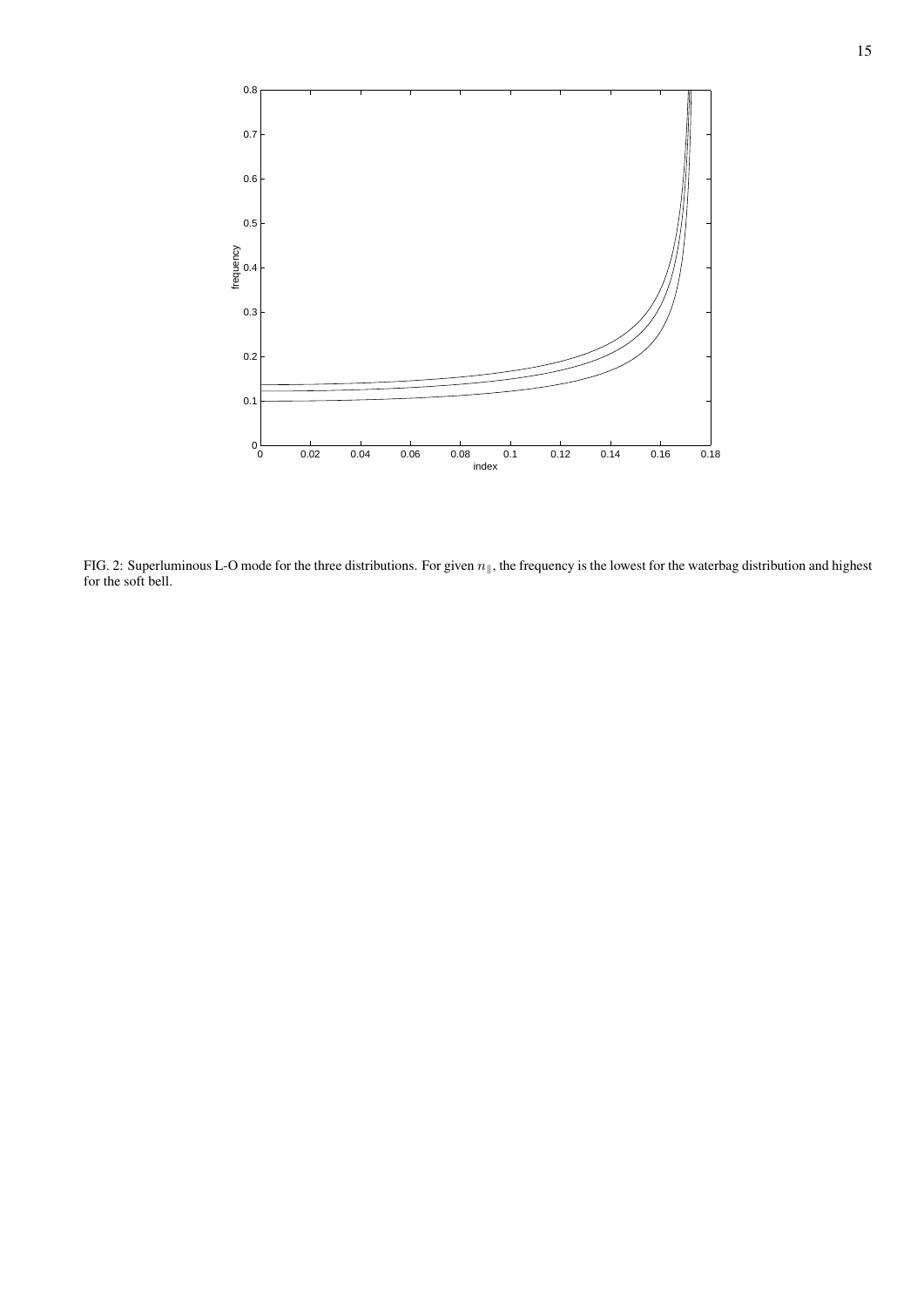

FIG. 2: Superluminous L-O mode for the three distributions. For given  $n_{\parallel}$ , the frequency is the lowest for the waterbag distribution and highest for the soft bell.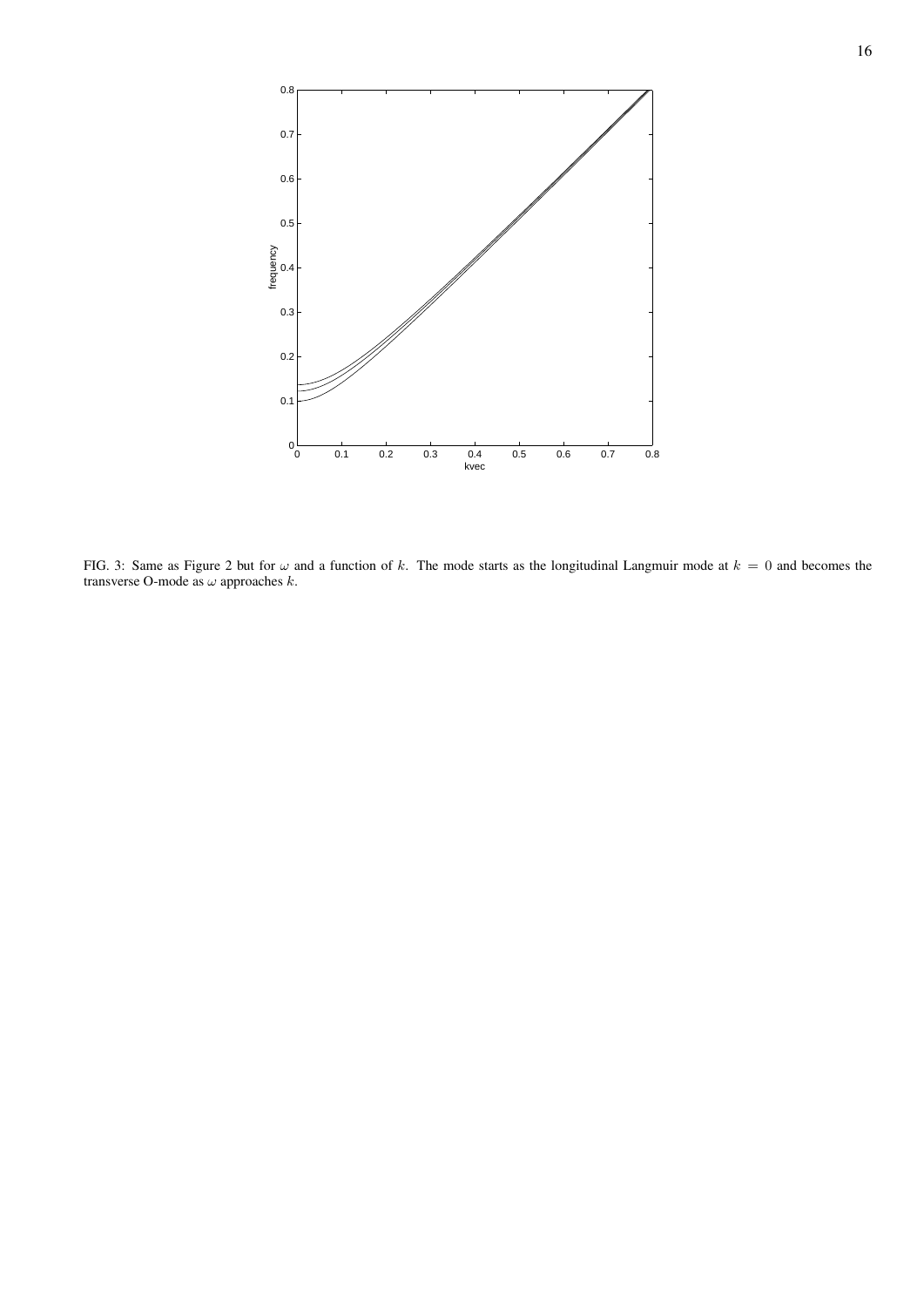

FIG. 3: Same as Figure 2 but for  $\omega$  and a function of k. The mode starts as the longitudinal Langmuir mode at  $k = 0$  and becomes the transverse O-mode as  $\omega$  approaches  $k$ .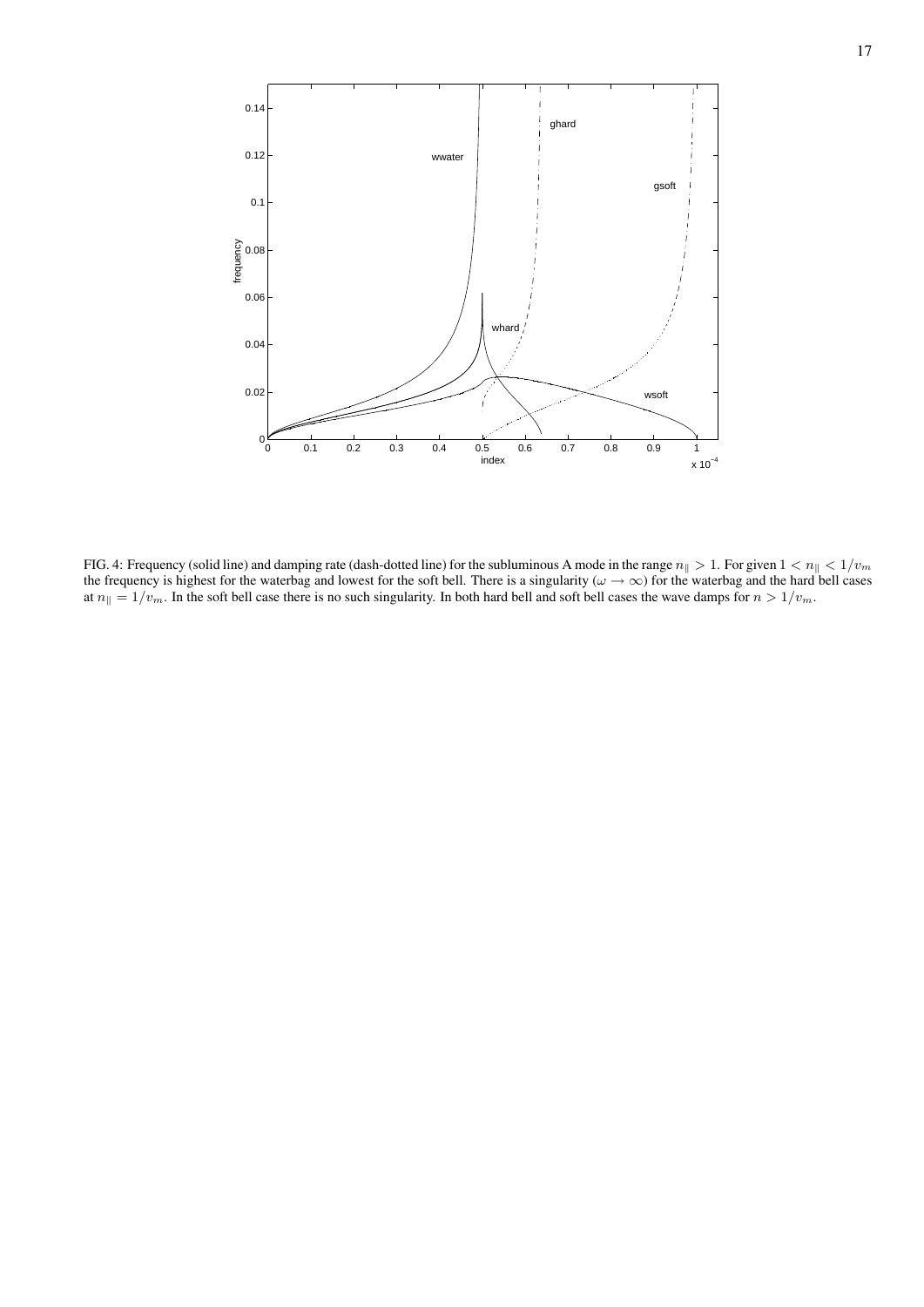

FIG. 4: Frequency (solid line) and damping rate (dash-dotted line) for the subluminous A mode in the range  $n_{\parallel} > 1$ . For given  $1 < n_{\parallel} < 1/v_m$ the frequency is highest for the waterbag and lowest for the soft bell. There is a singularity ( $\omega \to \infty$ ) for the waterbag and the hard bell cases at  $n_{\parallel} = 1/v_m$ . In the soft bell case there is no such singularity. In both hard bell and soft bell cases the wave damps for  $n > 1/v_m$ .